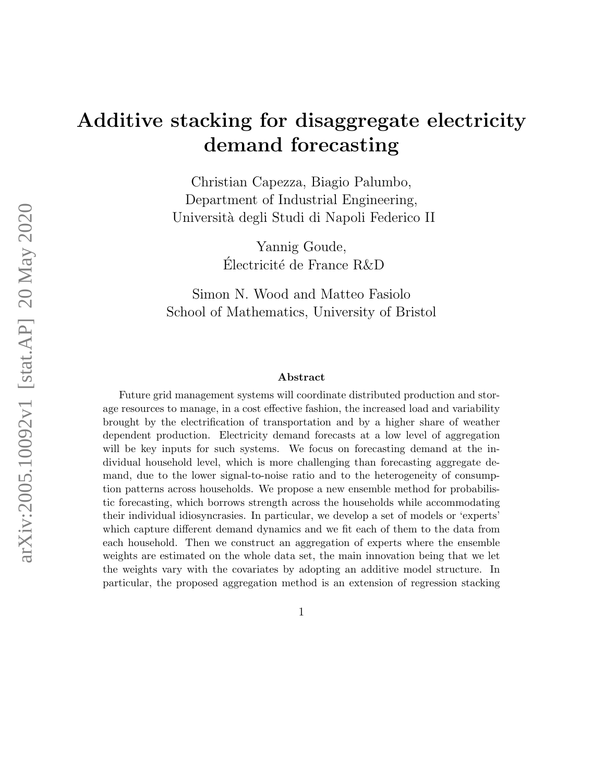# Additive stacking for disaggregate electricity demand forecasting

Christian Capezza, Biagio Palumbo, Department of Industrial Engineering, Universit`a degli Studi di Napoli Federico II

> Yannig Goude, Electricit´e de France R&D ´

Simon N. Wood and Matteo Fasiolo School of Mathematics, University of Bristol

#### Abstract

Future grid management systems will coordinate distributed production and storage resources to manage, in a cost effective fashion, the increased load and variability brought by the electrification of transportation and by a higher share of weather dependent production. Electricity demand forecasts at a low level of aggregation will be key inputs for such systems. We focus on forecasting demand at the individual household level, which is more challenging than forecasting aggregate demand, due to the lower signal-to-noise ratio and to the heterogeneity of consumption patterns across households. We propose a new ensemble method for probabilistic forecasting, which borrows strength across the households while accommodating their individual idiosyncrasies. In particular, we develop a set of models or 'experts' which capture different demand dynamics and we fit each of them to the data from each household. Then we construct an aggregation of experts where the ensemble weights are estimated on the whole data set, the main innovation being that we let the weights vary with the covariates by adopting an additive model structure. In particular, the proposed aggregation method is an extension of regression stacking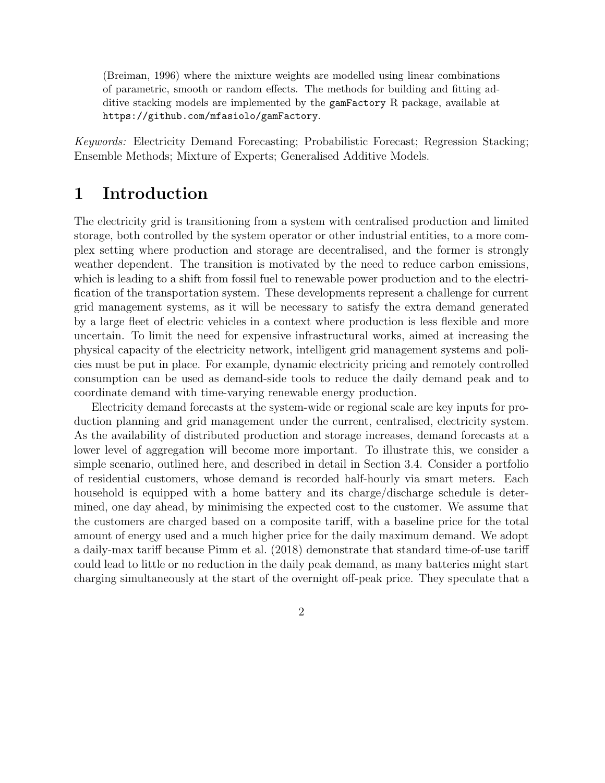(Breiman, 1996) where the mixture weights are modelled using linear combinations of parametric, smooth or random effects. The methods for building and fitting additive stacking models are implemented by the gamFactory R package, available at https://github.com/mfasiolo/gamFactory.

Keywords: Electricity Demand Forecasting; Probabilistic Forecast; Regression Stacking; Ensemble Methods; Mixture of Experts; Generalised Additive Models.

### 1 Introduction

The electricity grid is transitioning from a system with centralised production and limited storage, both controlled by the system operator or other industrial entities, to a more complex setting where production and storage are decentralised, and the former is strongly weather dependent. The transition is motivated by the need to reduce carbon emissions, which is leading to a shift from fossil fuel to renewable power production and to the electrification of the transportation system. These developments represent a challenge for current grid management systems, as it will be necessary to satisfy the extra demand generated by a large fleet of electric vehicles in a context where production is less flexible and more uncertain. To limit the need for expensive infrastructural works, aimed at increasing the physical capacity of the electricity network, intelligent grid management systems and policies must be put in place. For example, dynamic electricity pricing and remotely controlled consumption can be used as demand-side tools to reduce the daily demand peak and to coordinate demand with time-varying renewable energy production.

Electricity demand forecasts at the system-wide or regional scale are key inputs for production planning and grid management under the current, centralised, electricity system. As the availability of distributed production and storage increases, demand forecasts at a lower level of aggregation will become more important. To illustrate this, we consider a simple scenario, outlined here, and described in detail in Section 3.4. Consider a portfolio of residential customers, whose demand is recorded half-hourly via smart meters. Each household is equipped with a home battery and its charge/discharge schedule is determined, one day ahead, by minimising the expected cost to the customer. We assume that the customers are charged based on a composite tariff, with a baseline price for the total amount of energy used and a much higher price for the daily maximum demand. We adopt a daily-max tariff because Pimm et al. (2018) demonstrate that standard time-of-use tariff could lead to little or no reduction in the daily peak demand, as many batteries might start charging simultaneously at the start of the overnight off-peak price. They speculate that a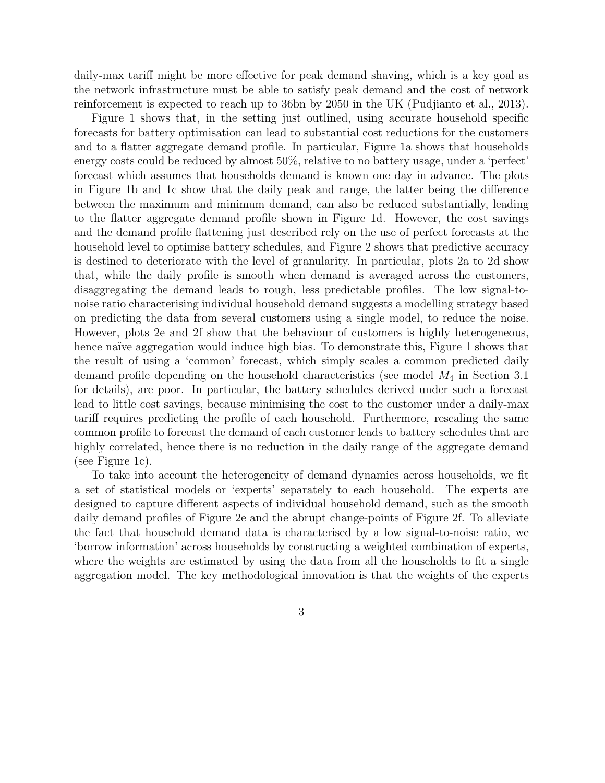daily-max tariff might be more effective for peak demand shaving, which is a key goal as the network infrastructure must be able to satisfy peak demand and the cost of network reinforcement is expected to reach up to 36bn by 2050 in the UK (Pudjianto et al., 2013).

Figure 1 shows that, in the setting just outlined, using accurate household specific forecasts for battery optimisation can lead to substantial cost reductions for the customers and to a flatter aggregate demand profile. In particular, Figure 1a shows that households energy costs could be reduced by almost 50%, relative to no battery usage, under a 'perfect' forecast which assumes that households demand is known one day in advance. The plots in Figure 1b and 1c show that the daily peak and range, the latter being the difference between the maximum and minimum demand, can also be reduced substantially, leading to the flatter aggregate demand profile shown in Figure 1d. However, the cost savings and the demand profile flattening just described rely on the use of perfect forecasts at the household level to optimise battery schedules, and Figure 2 shows that predictive accuracy is destined to deteriorate with the level of granularity. In particular, plots 2a to 2d show that, while the daily profile is smooth when demand is averaged across the customers, disaggregating the demand leads to rough, less predictable profiles. The low signal-tonoise ratio characterising individual household demand suggests a modelling strategy based on predicting the data from several customers using a single model, to reduce the noise. However, plots 2e and 2f show that the behaviour of customers is highly heterogeneous, hence naïve aggregation would induce high bias. To demonstrate this, Figure 1 shows that the result of using a 'common' forecast, which simply scales a common predicted daily demand profile depending on the household characteristics (see model  $M_4$  in Section 3.1 for details), are poor. In particular, the battery schedules derived under such a forecast lead to little cost savings, because minimising the cost to the customer under a daily-max tariff requires predicting the profile of each household. Furthermore, rescaling the same common profile to forecast the demand of each customer leads to battery schedules that are highly correlated, hence there is no reduction in the daily range of the aggregate demand (see Figure 1c).

To take into account the heterogeneity of demand dynamics across households, we fit a set of statistical models or 'experts' separately to each household. The experts are designed to capture different aspects of individual household demand, such as the smooth daily demand profiles of Figure 2e and the abrupt change-points of Figure 2f. To alleviate the fact that household demand data is characterised by a low signal-to-noise ratio, we 'borrow information' across households by constructing a weighted combination of experts, where the weights are estimated by using the data from all the households to fit a single aggregation model. The key methodological innovation is that the weights of the experts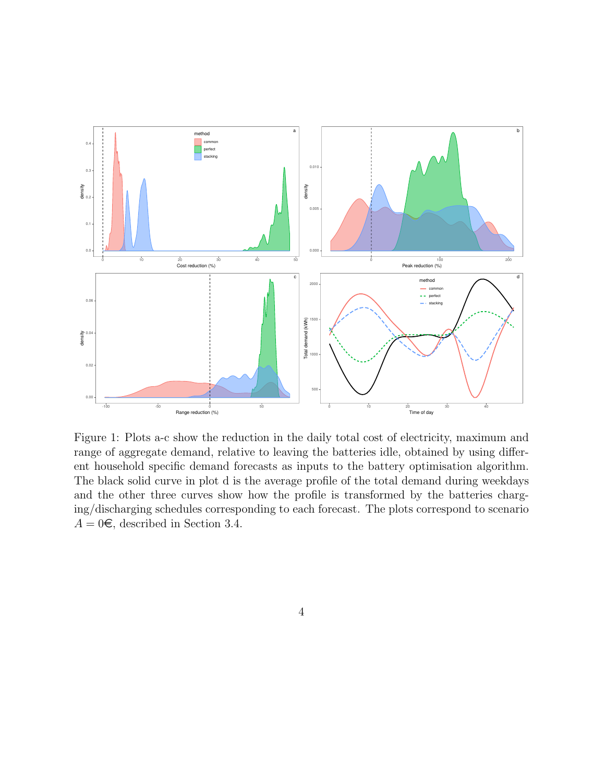

Figure 1: Plots a-c show the reduction in the daily total cost of electricity, maximum and range of aggregate demand, relative to leaving the batteries idle, obtained by using different household specific demand forecasts as inputs to the battery optimisation algorithm. The black solid curve in plot d is the average profile of the total demand during weekdays and the other three curves show how the profile is transformed by the batteries charging/discharging schedules corresponding to each forecast. The plots correspond to scenario  $A = 0\epsilon$ , described in Section 3.4.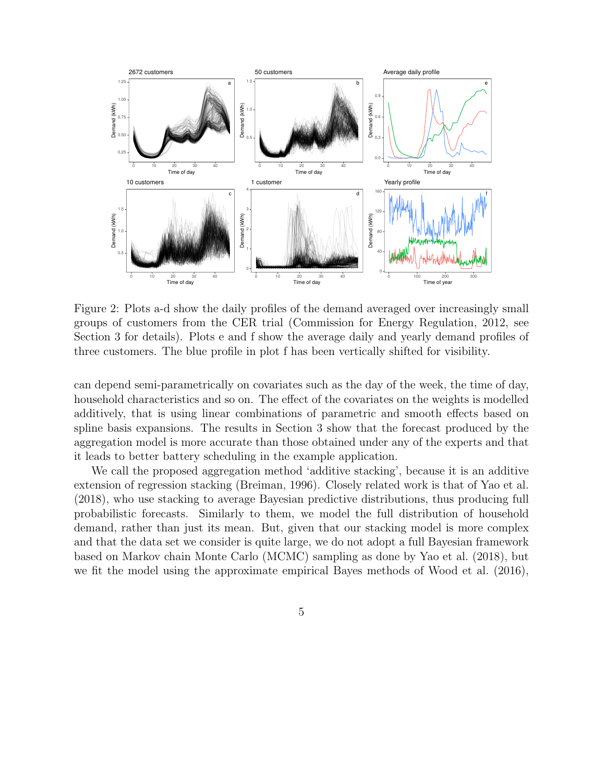

Figure 2: Plots a-d show the daily profiles of the demand averaged over increasingly small groups of customers from the CER trial (Commission for Energy Regulation, 2012, see Section 3 for details). Plots e and f show the average daily and yearly demand profiles of three customers. The blue profile in plot f has been vertically shifted for visibility.

can depend semi-parametrically on covariates such as the day of the week, the time of day, household characteristics and so on. The effect of the covariates on the weights is modelled additively, that is using linear combinations of parametric and smooth effects based on spline basis expansions. The results in Section 3 show that the forecast produced by the aggregation model is more accurate than those obtained under any of the experts and that it leads to better battery scheduling in the example application.

We call the proposed aggregation method 'additive stacking', because it is an additive extension of regression stacking (Breiman, 1996). Closely related work is that of Yao et al. (2018), who use stacking to average Bayesian predictive distributions, thus producing full probabilistic forecasts. Similarly to them, we model the full distribution of household demand, rather than just its mean. But, given that our stacking model is more complex and that the data set we consider is quite large, we do not adopt a full Bayesian framework based on Markov chain Monte Carlo (MCMC) sampling as done by Yao et al. (2018), but we fit the model using the approximate empirical Bayes methods of Wood et al. (2016),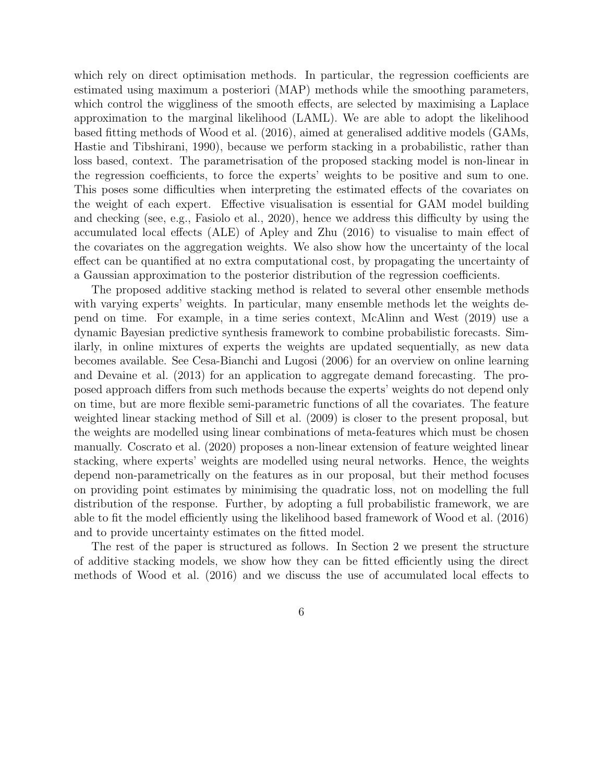which rely on direct optimisation methods. In particular, the regression coefficients are estimated using maximum a posteriori (MAP) methods while the smoothing parameters, which control the wiggliness of the smooth effects, are selected by maximising a Laplace approximation to the marginal likelihood (LAML). We are able to adopt the likelihood based fitting methods of Wood et al. (2016), aimed at generalised additive models (GAMs, Hastie and Tibshirani, 1990), because we perform stacking in a probabilistic, rather than loss based, context. The parametrisation of the proposed stacking model is non-linear in the regression coefficients, to force the experts' weights to be positive and sum to one. This poses some difficulties when interpreting the estimated effects of the covariates on the weight of each expert. Effective visualisation is essential for GAM model building and checking (see, e.g., Fasiolo et al., 2020), hence we address this difficulty by using the accumulated local effects (ALE) of Apley and Zhu (2016) to visualise to main effect of the covariates on the aggregation weights. We also show how the uncertainty of the local effect can be quantified at no extra computational cost, by propagating the uncertainty of a Gaussian approximation to the posterior distribution of the regression coefficients.

The proposed additive stacking method is related to several other ensemble methods with varying experts' weights. In particular, many ensemble methods let the weights depend on time. For example, in a time series context, McAlinn and West (2019) use a dynamic Bayesian predictive synthesis framework to combine probabilistic forecasts. Similarly, in online mixtures of experts the weights are updated sequentially, as new data becomes available. See Cesa-Bianchi and Lugosi (2006) for an overview on online learning and Devaine et al. (2013) for an application to aggregate demand forecasting. The proposed approach differs from such methods because the experts' weights do not depend only on time, but are more flexible semi-parametric functions of all the covariates. The feature weighted linear stacking method of Sill et al. (2009) is closer to the present proposal, but the weights are modelled using linear combinations of meta-features which must be chosen manually. Coscrato et al. (2020) proposes a non-linear extension of feature weighted linear stacking, where experts' weights are modelled using neural networks. Hence, the weights depend non-parametrically on the features as in our proposal, but their method focuses on providing point estimates by minimising the quadratic loss, not on modelling the full distribution of the response. Further, by adopting a full probabilistic framework, we are able to fit the model efficiently using the likelihood based framework of Wood et al. (2016) and to provide uncertainty estimates on the fitted model.

The rest of the paper is structured as follows. In Section 2 we present the structure of additive stacking models, we show how they can be fitted efficiently using the direct methods of Wood et al. (2016) and we discuss the use of accumulated local effects to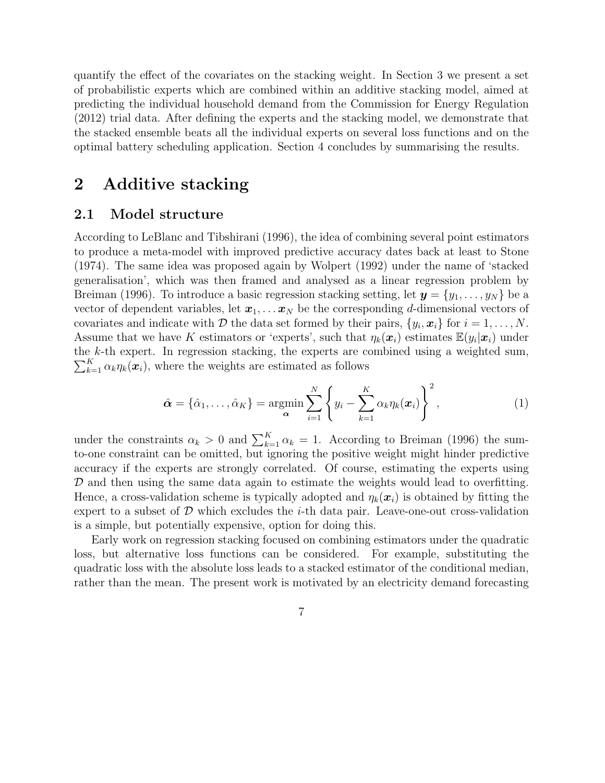quantify the effect of the covariates on the stacking weight. In Section 3 we present a set of probabilistic experts which are combined within an additive stacking model, aimed at predicting the individual household demand from the Commission for Energy Regulation (2012) trial data. After defining the experts and the stacking model, we demonstrate that the stacked ensemble beats all the individual experts on several loss functions and on the optimal battery scheduling application. Section 4 concludes by summarising the results.

### 2 Additive stacking

#### 2.1 Model structure

According to LeBlanc and Tibshirani (1996), the idea of combining several point estimators to produce a meta-model with improved predictive accuracy dates back at least to Stone (1974). The same idea was proposed again by Wolpert (1992) under the name of 'stacked generalisation', which was then framed and analysed as a linear regression problem by Breiman (1996). To introduce a basic regression stacking setting, let  $\mathbf{y} = \{y_1, \ldots, y_N\}$  be a vector of dependent variables, let  $x_1, \ldots, x_N$  be the corresponding d-dimensional vectors of covariates and indicate with D the data set formed by their pairs,  $\{y_i, x_i\}$  for  $i = 1, \ldots, N$ . Assume that we have K estimators or 'experts', such that  $\eta_k(\boldsymbol{x}_i)$  estimates  $\mathbb{E}(y_i|\boldsymbol{x}_i)$  under the k-th expert. In regression stacking, the experts are combined using a weighted sum,  $\sum_{k=1}^{K} \alpha_k \eta_k(\boldsymbol{x}_i)$ , where the weights are estimated as follows

$$
\hat{\boldsymbol{\alpha}} = {\hat{\alpha}_1, \dots, \hat{\alpha}_K} = \underset{\boldsymbol{\alpha}}{\operatorname{argmin}} \sum_{i=1}^{N} \left\{ y_i - \sum_{k=1}^{K} \alpha_k \eta_k(\boldsymbol{x}_i) \right\}^2, \qquad (1)
$$

under the constraints  $\alpha_k > 0$  and  $\sum_{k=1}^{K} \alpha_k = 1$ . According to Breiman (1996) the sumto-one constraint can be omitted, but ignoring the positive weight might hinder predictive accuracy if the experts are strongly correlated. Of course, estimating the experts using D and then using the same data again to estimate the weights would lead to overfitting. Hence, a cross-validation scheme is typically adopted and  $\eta_k(\boldsymbol{x}_i)$  is obtained by fitting the expert to a subset of  $D$  which excludes the *i*-th data pair. Leave-one-out cross-validation is a simple, but potentially expensive, option for doing this.

Early work on regression stacking focused on combining estimators under the quadratic loss, but alternative loss functions can be considered. For example, substituting the quadratic loss with the absolute loss leads to a stacked estimator of the conditional median, rather than the mean. The present work is motivated by an electricity demand forecasting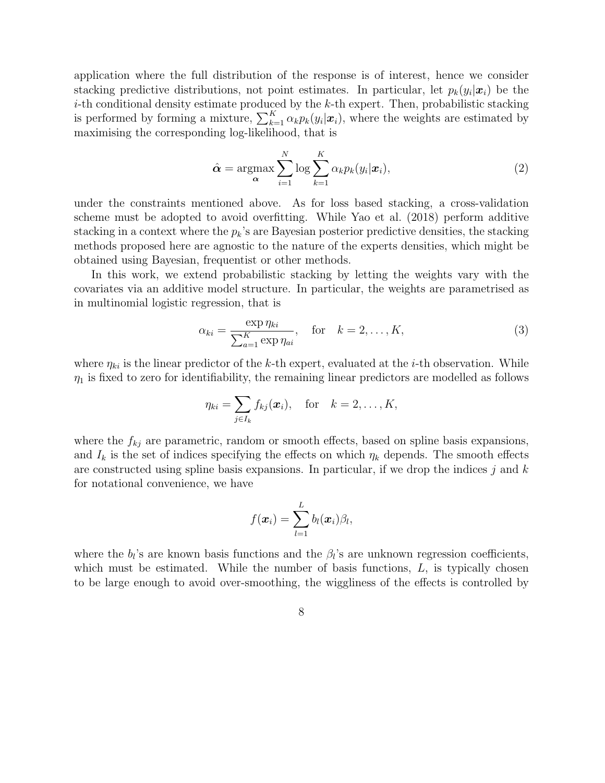application where the full distribution of the response is of interest, hence we consider stacking predictive distributions, not point estimates. In particular, let  $p_k(y_i|\mathbf{x}_i)$  be the  $i$ -th conditional density estimate produced by the  $k$ -th expert. Then, probabilistic stacking is performed by forming a mixture,  $\sum_{k=1}^{K} \alpha_k p_k(y_i | \mathbf{x}_i)$ , where the weights are estimated by maximising the corresponding log-likelihood, that is

$$
\hat{\alpha} = \underset{\alpha}{\operatorname{argmax}} \sum_{i=1}^{N} \log \sum_{k=1}^{K} \alpha_k p_k(y_i | \boldsymbol{x}_i), \tag{2}
$$

under the constraints mentioned above. As for loss based stacking, a cross-validation scheme must be adopted to avoid overfitting. While Yao et al. (2018) perform additive stacking in a context where the  $p_k$ 's are Bayesian posterior predictive densities, the stacking methods proposed here are agnostic to the nature of the experts densities, which might be obtained using Bayesian, frequentist or other methods.

In this work, we extend probabilistic stacking by letting the weights vary with the covariates via an additive model structure. In particular, the weights are parametrised as in multinomial logistic regression, that is

$$
\alpha_{ki} = \frac{\exp \eta_{ki}}{\sum_{a=1}^{K} \exp \eta_{ai}}, \quad \text{for} \quad k = 2, \dots, K,
$$
\n(3)

where  $\eta_{ki}$  is the linear predictor of the k-th expert, evaluated at the *i*-th observation. While  $\eta_1$  is fixed to zero for identifiability, the remaining linear predictors are modelled as follows

$$
\eta_{ki} = \sum_{j \in I_k} f_{kj}(\boldsymbol{x}_i), \quad \text{for} \quad k = 2, \ldots, K,
$$

where the  $f_{kj}$  are parametric, random or smooth effects, based on spline basis expansions, and  $I_k$  is the set of indices specifying the effects on which  $\eta_k$  depends. The smooth effects are constructed using spline basis expansions. In particular, if we drop the indices  $j$  and  $k$ for notational convenience, we have

$$
f(\boldsymbol{x}_i) = \sum_{l=1}^L b_l(\boldsymbol{x}_i) \beta_l,
$$

where the  $b_l$ 's are known basis functions and the  $\beta_l$ 's are unknown regression coefficients, which must be estimated. While the number of basis functions,  $L$ , is typically chosen to be large enough to avoid over-smoothing, the wiggliness of the effects is controlled by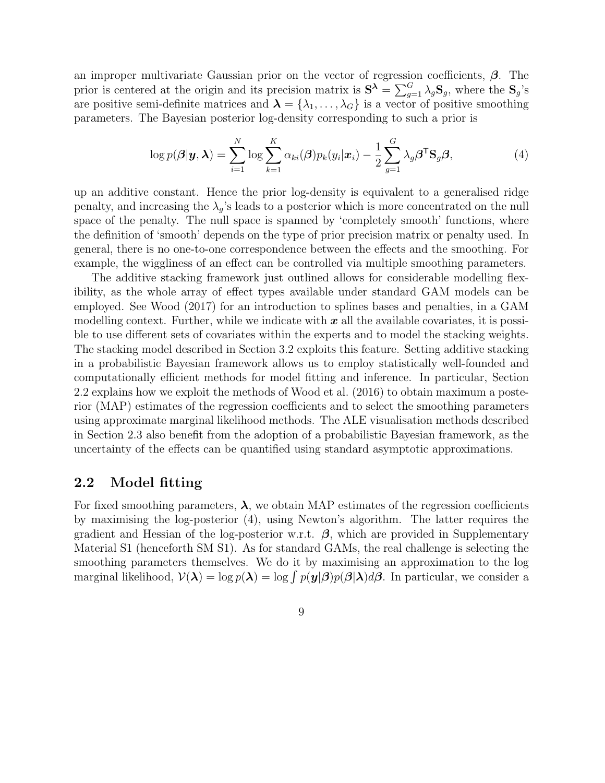an improper multivariate Gaussian prior on the vector of regression coefficients,  $\beta$ . The prior is centered at the origin and its precision matrix is  $S^{\lambda} = \sum_{g=1}^{G} \lambda_g S_g$ , where the  $S_g$ 's are positive semi-definite matrices and  $\lambda = \{\lambda_1, \ldots, \lambda_G\}$  is a vector of positive smoothing parameters. The Bayesian posterior log-density corresponding to such a prior is

$$
\log p(\boldsymbol{\beta}|\boldsymbol{y},\boldsymbol{\lambda}) = \sum_{i=1}^{N} \log \sum_{k=1}^{K} \alpha_{ki}(\boldsymbol{\beta}) p_k(y_i|\boldsymbol{x}_i) - \frac{1}{2} \sum_{g=1}^{G} \lambda_g \boldsymbol{\beta}^{\mathsf{T}} \mathbf{S}_g \boldsymbol{\beta},
$$
(4)

up an additive constant. Hence the prior log-density is equivalent to a generalised ridge penalty, and increasing the  $\lambda_q$ 's leads to a posterior which is more concentrated on the null space of the penalty. The null space is spanned by 'completely smooth' functions, where the definition of 'smooth' depends on the type of prior precision matrix or penalty used. In general, there is no one-to-one correspondence between the effects and the smoothing. For example, the wiggliness of an effect can be controlled via multiple smoothing parameters.

The additive stacking framework just outlined allows for considerable modelling flexibility, as the whole array of effect types available under standard GAM models can be employed. See Wood (2017) for an introduction to splines bases and penalties, in a GAM modelling context. Further, while we indicate with  $x$  all the available covariates, it is possible to use different sets of covariates within the experts and to model the stacking weights. The stacking model described in Section 3.2 exploits this feature. Setting additive stacking in a probabilistic Bayesian framework allows us to employ statistically well-founded and computationally efficient methods for model fitting and inference. In particular, Section 2.2 explains how we exploit the methods of Wood et al. (2016) to obtain maximum a posterior (MAP) estimates of the regression coefficients and to select the smoothing parameters using approximate marginal likelihood methods. The ALE visualisation methods described in Section 2.3 also benefit from the adoption of a probabilistic Bayesian framework, as the uncertainty of the effects can be quantified using standard asymptotic approximations.

### 2.2 Model fitting

For fixed smoothing parameters,  $\lambda$ , we obtain MAP estimates of the regression coefficients by maximising the log-posterior (4), using Newton's algorithm. The latter requires the gradient and Hessian of the log-posterior w.r.t.  $\beta$ , which are provided in Supplementary Material S1 (henceforth SM S1). As for standard GAMs, the real challenge is selecting the smoothing parameters themselves. We do it by maximising an approximation to the log marginal likelihood,  $\mathcal{V}(\lambda) = \log p(\lambda) = \log \int p(y|\beta)p(\beta|\lambda)d\beta$ . In particular, we consider a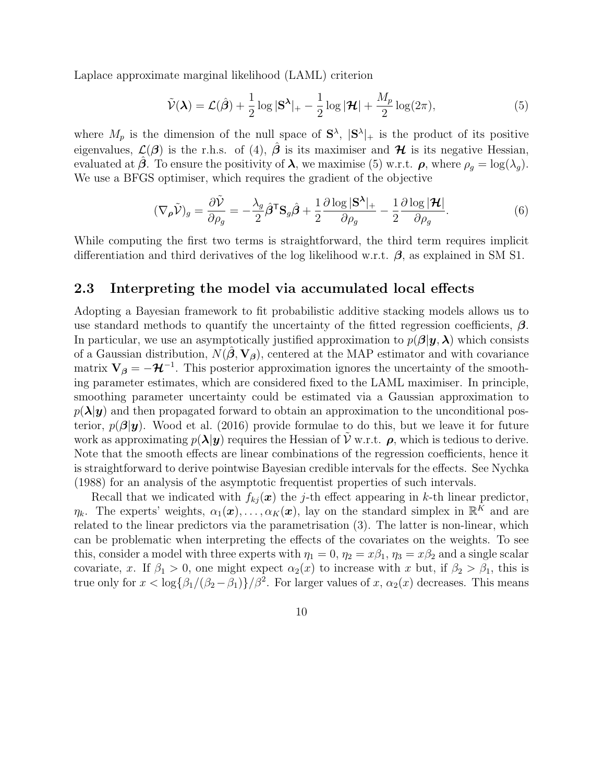Laplace approximate marginal likelihood (LAML) criterion

$$
\tilde{\mathcal{V}}(\boldsymbol{\lambda}) = \mathcal{L}(\hat{\boldsymbol{\beta}}) + \frac{1}{2} \log |\mathbf{S}^{\boldsymbol{\lambda}}|_{+} - \frac{1}{2} \log |\mathcal{H}| + \frac{M_p}{2} \log(2\pi),\tag{5}
$$

where  $M_p$  is the dimension of the null space of  $S^{\lambda}$ ,  $|S^{\lambda}|_{+}$  is the product of its positive eigenvalues,  $\mathcal{L}(\beta)$  is the r.h.s. of (4),  $\hat{\beta}$  is its maximiser and  $\mathcal{H}$  is its negative Hessian, evaluated at  $\hat{\beta}$ . To ensure the positivity of  $\lambda$ , we maximise (5) w.r.t.  $\rho$ , where  $\rho_q = \log(\lambda_q)$ . We use a BFGS optimiser, which requires the gradient of the objective

$$
(\nabla_{\rho}\tilde{\mathcal{V}})_{g} = \frac{\partial \tilde{\mathcal{V}}}{\partial \rho_{g}} = -\frac{\lambda_{g}}{2} \hat{\beta}^{\mathsf{T}} \mathbf{S}_{g} \hat{\beta} + \frac{1}{2} \frac{\partial \log |\mathbf{S}^{\lambda}|_{+}}{\partial \rho_{g}} - \frac{1}{2} \frac{\partial \log |\mathcal{H}|}{\partial \rho_{g}}.
$$
(6)

While computing the first two terms is straightforward, the third term requires implicit differentiation and third derivatives of the log likelihood w.r.t.  $\beta$ , as explained in SM S1.

#### 2.3 Interpreting the model via accumulated local effects

Adopting a Bayesian framework to fit probabilistic additive stacking models allows us to use standard methods to quantify the uncertainty of the fitted regression coefficients,  $\beta$ . In particular, we use an asymptotically justified approximation to  $p(\boldsymbol{\beta}|\boldsymbol{y},\boldsymbol{\lambda})$  which consists of a Gaussian distribution,  $N(\hat{\beta}, V_{\beta})$ , centered at the MAP estimator and with covariance matrix  $V_{\beta} = -\mathcal{H}^{-1}$ . This posterior approximation ignores the uncertainty of the smoothing parameter estimates, which are considered fixed to the LAML maximiser. In principle, smoothing parameter uncertainty could be estimated via a Gaussian approximation to  $p(\lambda|\mathbf{y})$  and then propagated forward to obtain an approximation to the unconditional posterior,  $p(\beta|\mathbf{y})$ . Wood et al. (2016) provide formulae to do this, but we leave it for future work as approximating  $p(\lambda | y)$  requires the Hessian of V w.r.t.  $\rho$ , which is tedious to derive. Note that the smooth effects are linear combinations of the regression coefficients, hence it is straightforward to derive pointwise Bayesian credible intervals for the effects. See Nychka (1988) for an analysis of the asymptotic frequentist properties of such intervals.

Recall that we indicated with  $f_{kj}(\boldsymbol{x})$  the j-th effect appearing in k-th linear predictor,  $\eta_k$ . The experts' weights,  $\alpha_1(\boldsymbol{x}), \ldots, \alpha_K(\boldsymbol{x})$ , lay on the standard simplex in  $\mathbb{R}^K$  and are related to the linear predictors via the parametrisation (3). The latter is non-linear, which can be problematic when interpreting the effects of the covariates on the weights. To see this, consider a model with three experts with  $\eta_1 = 0$ ,  $\eta_2 = x\beta_1$ ,  $\eta_3 = x\beta_2$  and a single scalar covariate, x. If  $\beta_1 > 0$ , one might expect  $\alpha_2(x)$  to increase with x but, if  $\beta_2 > \beta_1$ , this is true only for  $x < \log{\{\beta_1/(\beta_2-\beta_1)\}}/\beta^2$ . For larger values of  $x, \alpha_2(x)$  decreases. This means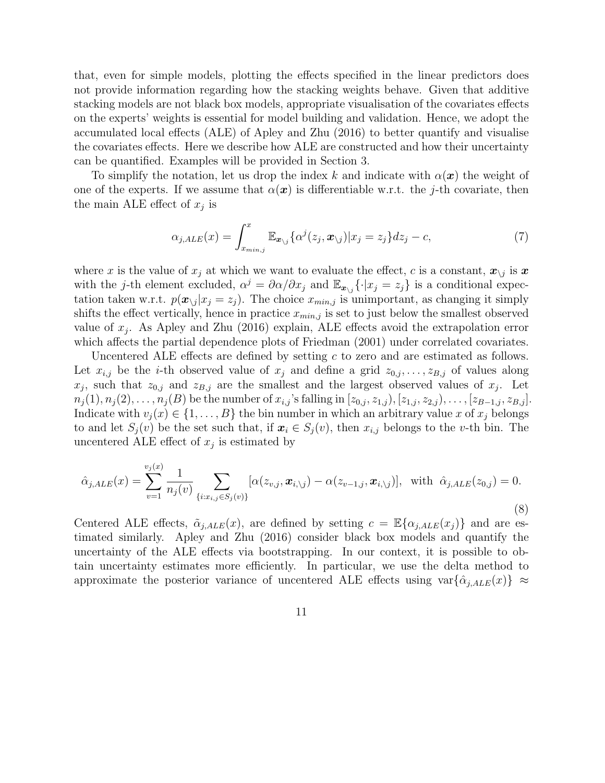that, even for simple models, plotting the effects specified in the linear predictors does not provide information regarding how the stacking weights behave. Given that additive stacking models are not black box models, appropriate visualisation of the covariates effects on the experts' weights is essential for model building and validation. Hence, we adopt the accumulated local effects (ALE) of Apley and Zhu (2016) to better quantify and visualise the covariates effects. Here we describe how ALE are constructed and how their uncertainty can be quantified. Examples will be provided in Section 3.

To simplify the notation, let us drop the index k and indicate with  $\alpha(x)$  the weight of one of the experts. If we assume that  $\alpha(x)$  is differentiable w.r.t. the j-th covariate, then the main ALE effect of  $x_j$  is

$$
\alpha_{j,ALE}(x) = \int_{x_{min,j}}^{x} \mathbb{E}_{\mathbf{x}_{\setminus j}} \{ \alpha^j(z_j, \mathbf{x}_{\setminus j}) | x_j = z_j \} dz_j - c,\tag{7}
$$

where x is the value of  $x_j$  at which we want to evaluate the effect, c is a constant,  $x_{\backslash j}$  is x with the j-th element excluded,  $\alpha^j = \partial \alpha/\partial x_j$  and  $\mathbb{E}_{x\setminus j} \{\cdot | x_j = z_j\}$  is a conditional expectation taken w.r.t.  $p(\mathbf{x}_{\setminus j}|x_j = z_j)$ . The choice  $x_{min,j}$  is unimportant, as changing it simply shifts the effect vertically, hence in practice  $x_{min,j}$  is set to just below the smallest observed value of  $x_j$ . As Apley and Zhu (2016) explain, ALE effects avoid the extrapolation error which affects the partial dependence plots of Friedman (2001) under correlated covariates.

Uncentered ALE effects are defined by setting c to zero and are estimated as follows. Let  $x_{i,j}$  be the *i*-th observed value of  $x_j$  and define a grid  $z_{0,j}, \ldots, z_{B,j}$  of values along  $x_j$ , such that  $z_{0,j}$  and  $z_{B,j}$  are the smallest and the largest observed values of  $x_j$ . Let  $n_j(1), n_j(2), \ldots, n_j(B)$  be the number of  $x_{i,j}$ 's falling in  $[z_{0,j}, z_{1,j}), [z_{1,j}, z_{2,j}), \ldots, [z_{B-1,j}, z_{B,j}].$ Indicate with  $v_j(x) \in \{1, \ldots, B\}$  the bin number in which an arbitrary value x of  $x_j$  belongs to and let  $S_j(v)$  be the set such that, if  $x_i \in S_j(v)$ , then  $x_{i,j}$  belongs to the v-th bin. The uncentered ALE effect of  $x_j$  is estimated by

$$
\hat{\alpha}_{j,ALE}(x) = \sum_{v=1}^{v_j(x)} \frac{1}{n_j(v)} \sum_{\{i:x_{i,j} \in S_j(v)\}} [\alpha(z_{v,j}, x_{i,\setminus j}) - \alpha(z_{v-1,j}, x_{i,\setminus j})], \text{ with } \hat{\alpha}_{j,ALE}(z_{0,j}) = 0.
$$
\n(8)

Centered ALE effects,  $\tilde{\alpha}_{j,ALE}(x)$ , are defined by setting  $c = \mathbb{E}\{\alpha_{j,ALE}(x_j)\}\$ and are estimated similarly. Apley and Zhu (2016) consider black box models and quantify the uncertainty of the ALE effects via bootstrapping. In our context, it is possible to obtain uncertainty estimates more efficiently. In particular, we use the delta method to approximate the posterior variance of uncentered ALE effects using  $var{\{\alpha_{j,ALE}(x)\}} \approx$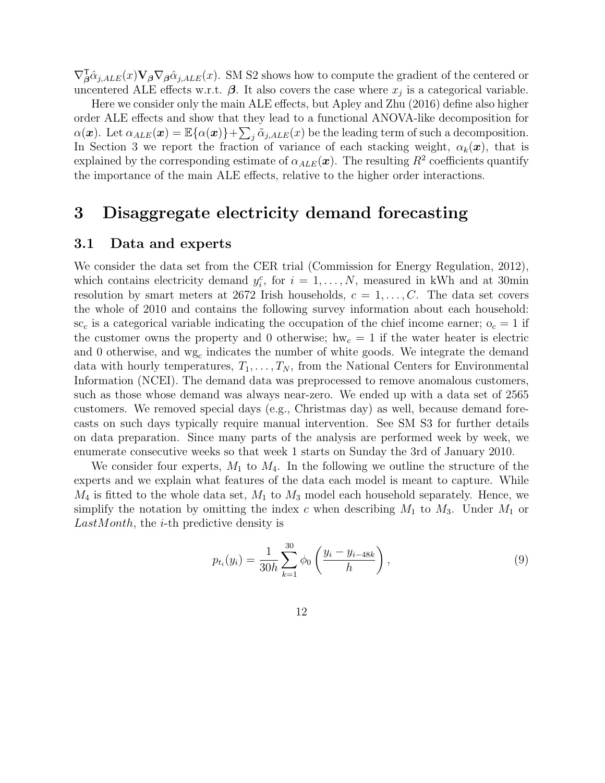$\nabla_{\beta}^{\mathsf{T}}\hat{\alpha}_{j,ALE}(x)\mathbf{V}_{\beta}\nabla_{\beta}\hat{\alpha}_{j,ALE}(x)$ . SM S2 shows how to compute the gradient of the centered or uncentered ALE effects w.r.t.  $\beta$ . It also covers the case where  $x_j$  is a categorical variable.

Here we consider only the main ALE effects, but Apley and Zhu (2016) define also higher order ALE effects and show that they lead to a functional ANOVA-like decomposition for  $\alpha(\boldsymbol{x})$ . Let  $\alpha_{ALE}(\boldsymbol{x}) = \mathbb{E}\{\alpha(\boldsymbol{x})\} + \sum_{j} \tilde{\alpha}_{j,ALE}(\boldsymbol{x})$  be the leading term of such a decomposition. In Section 3 we report the fraction of variance of each stacking weight,  $\alpha_k(x)$ , that is explained by the corresponding estimate of  $\alpha_{ALE}(\boldsymbol{x})$ . The resulting  $R^2$  coefficients quantify the importance of the main ALE effects, relative to the higher order interactions.

### 3 Disaggregate electricity demand forecasting

#### 3.1 Data and experts

We consider the data set from the CER trial (Commission for Energy Regulation, 2012), which contains electricity demand  $y_i^c$ , for  $i = 1, ..., N$ , measured in kWh and at 30min resolution by smart meters at 2672 Irish households,  $c = 1, \ldots, C$ . The data set covers the whole of 2010 and contains the following survey information about each household:  $\mathrm{sc}_{c}$  is a categorical variable indicating the occupation of the chief income earner;  $\mathrm{o}_{c} = 1$  if the customer owns the property and 0 otherwise;  $hw_c = 1$  if the water heater is electric and 0 otherwise, and  $wg_c$  indicates the number of white goods. We integrate the demand data with hourly temperatures,  $T_1, \ldots, T_N$ , from the National Centers for Environmental Information (NCEI). The demand data was preprocessed to remove anomalous customers, such as those whose demand was always near-zero. We ended up with a data set of 2565 customers. We removed special days (e.g., Christmas day) as well, because demand forecasts on such days typically require manual intervention. See SM S3 for further details on data preparation. Since many parts of the analysis are performed week by week, we enumerate consecutive weeks so that week 1 starts on Sunday the 3rd of January 2010.

We consider four experts,  $M_1$  to  $M_4$ . In the following we outline the structure of the experts and we explain what features of the data each model is meant to capture. While  $M_4$  is fitted to the whole data set,  $M_1$  to  $M_3$  model each household separately. Hence, we simplify the notation by omitting the index c when describing  $M_1$  to  $M_3$ . Under  $M_1$  or LastMonth, the *i*-th predictive density is

$$
p_{t_i}(y_i) = \frac{1}{30h} \sum_{k=1}^{30} \phi_0 \left( \frac{y_i - y_{i-48k}}{h} \right), \tag{9}
$$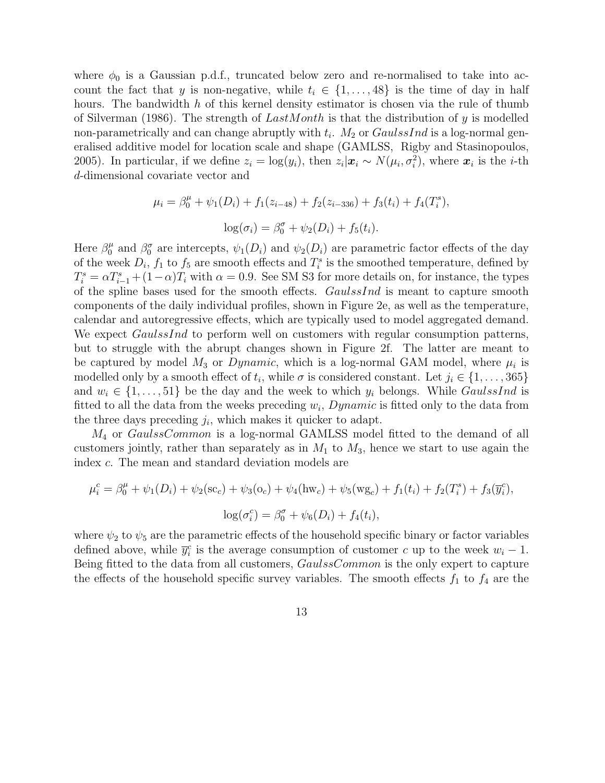where  $\phi_0$  is a Gaussian p.d.f., truncated below zero and re-normalised to take into account the fact that y is non-negative, while  $t_i \in \{1, \ldots, 48\}$  is the time of day in half hours. The bandwidth h of this kernel density estimator is chosen via the rule of thumb of Silverman (1986). The strength of  $LastMonth$  is that the distribution of y is modelled non-parametrically and can change abruptly with  $t_i$ .  $M_2$  or  $GaulssInd$  is a log-normal generalised additive model for location scale and shape (GAMLSS, Rigby and Stasinopoulos, 2005). In particular, if we define  $z_i = \log(y_i)$ , then  $z_i | x_i \sim N(\mu_i, \sigma_i^2)$ , where  $x_i$  is the *i*-th d-dimensional covariate vector and

$$
\mu_i = \beta_0^{\mu} + \psi_1(D_i) + f_1(z_{i-48}) + f_2(z_{i-336}) + f_3(t_i) + f_4(T_i^s),
$$
  

$$
\log(\sigma_i) = \beta_0^{\sigma} + \psi_2(D_i) + f_5(t_i).
$$

Here  $\beta_0^{\mu}$  $\frac{\mu}{0}$  and  $\beta_0^{\sigma}$  are intercepts,  $\psi_1(D_i)$  and  $\psi_2(D_i)$  are parametric factor effects of the day of the week  $D_i$ ,  $f_1$  to  $f_5$  are smooth effects and  $T_i^s$  is the smoothed temperature, defined by  $T_i^s = \alpha T_{i-1}^s + (1-\alpha)T_i$  with  $\alpha = 0.9$ . See SM S3 for more details on, for instance, the types of the spline bases used for the smooth effects. GaulssInd is meant to capture smooth components of the daily individual profiles, shown in Figure 2e, as well as the temperature, calendar and autoregressive effects, which are typically used to model aggregated demand. We expect *GaulssInd* to perform well on customers with regular consumption patterns, but to struggle with the abrupt changes shown in Figure 2f. The latter are meant to be captured by model  $M_3$  or  $Dynamic$ , which is a log-normal GAM model, where  $\mu_i$  is modelled only by a smooth effect of  $t_i$ , while  $\sigma$  is considered constant. Let  $j_i \in \{1, \ldots, 365\}$ and  $w_i \in \{1, \ldots, 51\}$  be the day and the week to which  $y_i$  belongs. While *GaulssInd* is fitted to all the data from the weeks preceding  $w_i$ , Dynamic is fitted only to the data from the three days preceding  $j_i$ , which makes it quicker to adapt.

M<sup>4</sup> or GaulssCommon is a log-normal GAMLSS model fitted to the demand of all customers jointly, rather than separately as in  $M_1$  to  $M_3$ , hence we start to use again the index c. The mean and standard deviation models are

$$
\mu_i^c = \beta_0^{\mu} + \psi_1(D_i) + \psi_2(\text{sc}_c) + \psi_3(\text{o}_c) + \psi_4(\text{hw}_c) + \psi_5(\text{wg}_c) + f_1(t_i) + f_2(T_i^s) + f_3(\overline{y}_i^c),
$$
  

$$
\log(\sigma_i^c) = \beta_0^{\sigma} + \psi_6(D_i) + f_4(t_i),
$$

where  $\psi_2$  to  $\psi_5$  are the parametric effects of the household specific binary or factor variables defined above, while  $\bar{y}_i^c$  is the average consumption of customer c up to the week  $w_i - 1$ . Being fitted to the data from all customers, *GaulssCommon* is the only expert to capture the effects of the household specific survey variables. The smooth effects  $f_1$  to  $f_4$  are the

13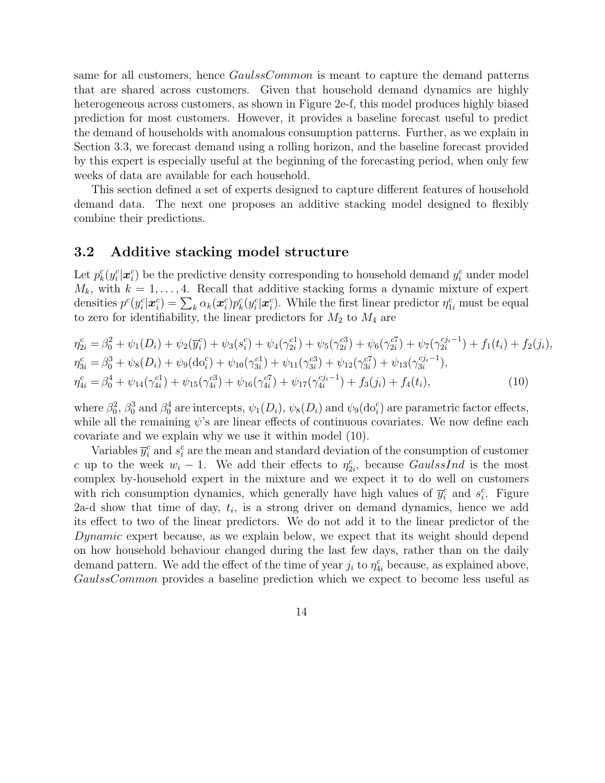same for all customers, hence  $GaulssCommon$  is meant to capture the demand patterns that are shared across customers. Given that household demand dynamics are highly heterogeneous across customers, as shown in Figure 2e-f, this model produces highly biased prediction for most customers. However, it provides a baseline forecast useful to predict the demand of households with anomalous consumption patterns. Further, as we explain in Section 3.3, we forecast demand using a rolling horizon, and the baseline forecast provided by this expert is especially useful at the beginning of the forecasting period, when only few weeks of data are available for each household.

This section defined a set of experts designed to capture different features of household demand data. The next one proposes an additive stacking model designed to flexibly combine their predictions.

### 3.2 Additive stacking model structure

Let  $p_k^c(y_i^c|\boldsymbol{x}_i^c)$  be the predictive density corresponding to household demand  $y_i^c$  under model  $M_k$ , with  $k = 1, \ldots, 4$ . Recall that additive stacking forms a dynamic mixture of expert densities  $p^c(y_i^c|\boldsymbol{x}_i^c) = \sum_k \alpha_k(\boldsymbol{x}_i^c) p_k^c(y_i^c|\boldsymbol{x}_i^c)$ . While the first linear predictor  $\eta_{1i}^c$  must be equal to zero for identifiability, the linear predictors for  $M_2$  to  $M_4$  are

$$
\eta_{2i}^{c} = \beta_{0}^{2} + \psi_{1}(D_{i}) + \psi_{2}(\overline{y}_{i}^{c}) + \psi_{3}(s_{i}^{c}) + \psi_{4}(\gamma_{2i}^{c1}) + \psi_{5}(\gamma_{2i}^{c3}) + \psi_{6}(\gamma_{2i}^{c7}) + \psi_{7}(\gamma_{2i}^{cj_{i}-1}) + f_{1}(t_{i}) + f_{2}(j_{i}),
$$
  
\n
$$
\eta_{3i}^{c} = \beta_{0}^{3} + \psi_{8}(D_{i}) + \psi_{9}(\text{do}_{i}^{c}) + \psi_{10}(\gamma_{3i}^{c1}) + \psi_{11}(\gamma_{3i}^{c3}) + \psi_{12}(\gamma_{3i}^{c7}) + \psi_{13}(\gamma_{3i}^{cj_{i}-1}),
$$
  
\n
$$
\eta_{4i}^{c} = \beta_{0}^{4} + \psi_{14}(\gamma_{4i}^{c1}) + \psi_{15}(\gamma_{4i}^{c3}) + \psi_{16}(\gamma_{4i}^{c7}) + \psi_{17}(\gamma_{4i}^{cj_{i}-1}) + f_{3}(j_{i}) + f_{4}(t_{i}),
$$
\n(10)

where  $\beta_0^2$ ,  $\beta_0^3$  and  $\beta_0^4$  are intercepts,  $\psi_1(D_i)$ ,  $\psi_8(D_i)$  and  $\psi_9(\text{do}_i^c)$  are parametric factor effects, while all the remaining  $\psi$ 's are linear effects of continuous covariates. We now define each covariate and we explain why we use it within model (10).

Variables  $\bar{y}_i^c$  and  $s_i^c$  are the mean and standard deviation of the consumption of customer c up to the week  $w_i - 1$ . We add their effects to  $\eta_{2i}^c$ , because GaulssInd is the most complex by-household expert in the mixture and we expect it to do well on customers with rich consumption dynamics, which generally have high values of  $\bar{y}_i^c$  and  $s_i^c$ . Figure 2a-d show that time of day,  $t_i$ , is a strong driver on demand dynamics, hence we add its effect to two of the linear predictors. We do not add it to the linear predictor of the Dynamic expert because, as we explain below, we expect that its weight should depend on how household behaviour changed during the last few days, rather than on the daily demand pattern. We add the effect of the time of year  $j_i$  to  $\eta_{4i}^c$  because, as explained above, GaulssCommon provides a baseline prediction which we expect to become less useful as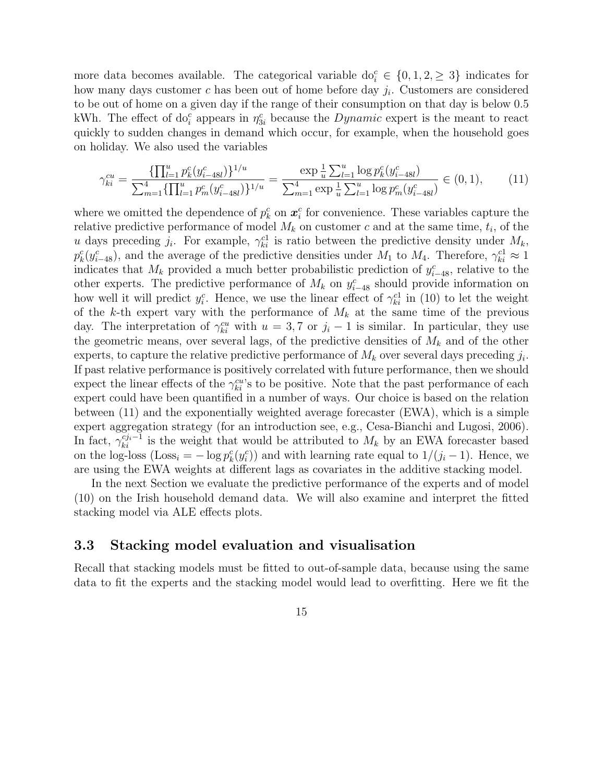more data becomes available. The categorical variable  $do_i^c \in \{0, 1, 2, \geq 3\}$  indicates for how many days customer  $c$  has been out of home before day  $j_i$ . Customers are considered to be out of home on a given day if the range of their consumption on that day is below 0.5 kWh. The effect of do<sub>i</sub> appears in  $\eta_{3i}^c$  because the *Dynamic* expert is the meant to react quickly to sudden changes in demand which occur, for example, when the household goes on holiday. We also used the variables

$$
\gamma_{ki}^{cu} = \frac{\{\prod_{l=1}^{u} p_k^c(y_{i-48l}^c)\}^{1/u}}{\sum_{m=1}^{4} \{\prod_{l=1}^{u} p_m^c(y_{i-48l}^c)\}^{1/u}} = \frac{\exp\frac{1}{u}\sum_{l=1}^{u}\log p_k^c(y_{i-48l}^c)}{\sum_{m=1}^{4}\exp\frac{1}{u}\sum_{l=1}^{u}\log p_m^c(y_{i-48l}^c)} \in (0,1),\tag{11}
$$

where we omitted the dependence of  $p_k^c$  on  $\mathbf{x}_i^c$  for convenience. These variables capture the relative predictive performance of model  $M_k$  on customer c and at the same time,  $t_i$ , of the u days preceding  $j_i$ . For example,  $\gamma_{ki}^{c1}$  is ratio between the predictive density under  $M_k$ ,  $p_k^c(y_{i-48}^c)$ , and the average of the predictive densities under  $M_1$  to  $M_4$ . Therefore,  $\gamma_{ki}^{c1} \approx 1$ indicates that  $M_k$  provided a much better probabilistic prediction of  $y_{i-48}^c$ , relative to the other experts. The predictive performance of  $M_k$  on  $y_{i-48}^c$  should provide information on how well it will predict  $y_i^c$ . Hence, we use the linear effect of  $\gamma_{ki}^{c_1}$  in (10) to let the weight of the k-th expert vary with the performance of  $M_k$  at the same time of the previous day. The interpretation of  $\gamma_{ki}^{cu}$  with  $u = 3, 7$  or  $j_i - 1$  is similar. In particular, they use the geometric means, over several lags, of the predictive densities of  $M_k$  and of the other experts, to capture the relative predictive performance of  $M_k$  over several days preceding  $j_i$ . If past relative performance is positively correlated with future performance, then we should expect the linear effects of the  $\gamma_{ki}^{cu}$ 's to be positive. Note that the past performance of each expert could have been quantified in a number of ways. Our choice is based on the relation between (11) and the exponentially weighted average forecaster (EWA), which is a simple expert aggregation strategy (for an introduction see, e.g., Cesa-Bianchi and Lugosi, 2006). In fact,  $\gamma_{ki}^{c j_i-1}$  is the weight that would be attributed to  $M_k$  by an EWA forecaster based on the log-loss (Loss<sub>i</sub> =  $-\log p_k^c(y_i^c)$ ) and with learning rate equal to  $1/(j_i-1)$ . Hence, we are using the EWA weights at different lags as covariates in the additive stacking model.

In the next Section we evaluate the predictive performance of the experts and of model (10) on the Irish household demand data. We will also examine and interpret the fitted stacking model via ALE effects plots.

### 3.3 Stacking model evaluation and visualisation

Recall that stacking models must be fitted to out-of-sample data, because using the same data to fit the experts and the stacking model would lead to overfitting. Here we fit the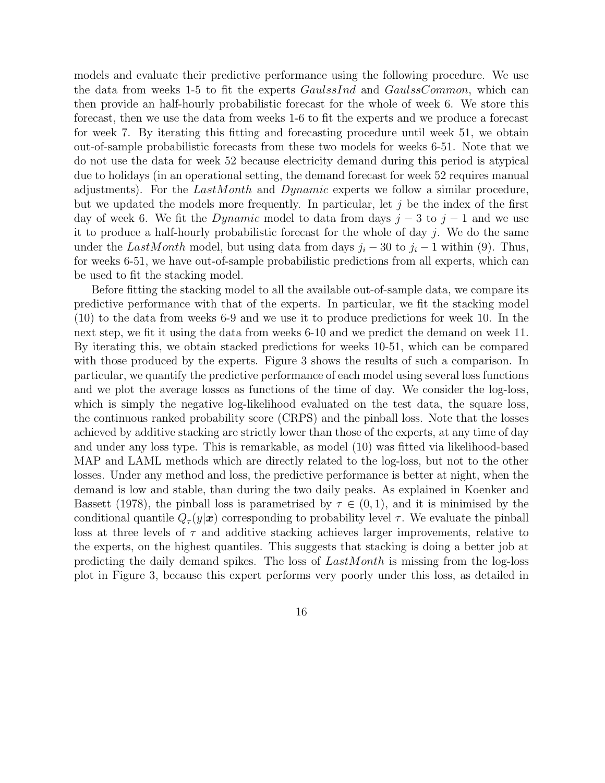models and evaluate their predictive performance using the following procedure. We use the data from weeks 1-5 to fit the experts GaulssInd and GaulssCommon, which can then provide an half-hourly probabilistic forecast for the whole of week 6. We store this forecast, then we use the data from weeks 1-6 to fit the experts and we produce a forecast for week 7. By iterating this fitting and forecasting procedure until week 51, we obtain out-of-sample probabilistic forecasts from these two models for weeks 6-51. Note that we do not use the data for week 52 because electricity demand during this period is atypical due to holidays (in an operational setting, the demand forecast for week 52 requires manual adjustments). For the  $LastMonth$  and  $Dynamic$  experts we follow a similar procedure, but we updated the models more frequently. In particular, let  $j$  be the index of the first day of week 6. We fit the Dynamic model to data from days  $j-3$  to  $j-1$  and we use it to produce a half-hourly probabilistic forecast for the whole of day  $j$ . We do the same under the LastMonth model, but using data from days  $j_i - 30$  to  $j_i - 1$  within (9). Thus, for weeks 6-51, we have out-of-sample probabilistic predictions from all experts, which can be used to fit the stacking model.

Before fitting the stacking model to all the available out-of-sample data, we compare its predictive performance with that of the experts. In particular, we fit the stacking model (10) to the data from weeks 6-9 and we use it to produce predictions for week 10. In the next step, we fit it using the data from weeks 6-10 and we predict the demand on week 11. By iterating this, we obtain stacked predictions for weeks 10-51, which can be compared with those produced by the experts. Figure 3 shows the results of such a comparison. In particular, we quantify the predictive performance of each model using several loss functions and we plot the average losses as functions of the time of day. We consider the log-loss, which is simply the negative log-likelihood evaluated on the test data, the square loss, the continuous ranked probability score (CRPS) and the pinball loss. Note that the losses achieved by additive stacking are strictly lower than those of the experts, at any time of day and under any loss type. This is remarkable, as model (10) was fitted via likelihood-based MAP and LAML methods which are directly related to the log-loss, but not to the other losses. Under any method and loss, the predictive performance is better at night, when the demand is low and stable, than during the two daily peaks. As explained in Koenker and Bassett (1978), the pinball loss is parametrised by  $\tau \in (0,1)$ , and it is minimised by the conditional quantile  $Q_{\tau}(y|\mathbf{x})$  corresponding to probability level  $\tau$ . We evaluate the pinball loss at three levels of  $\tau$  and additive stacking achieves larger improvements, relative to the experts, on the highest quantiles. This suggests that stacking is doing a better job at predicting the daily demand spikes. The loss of  $LastMonth$  is missing from the log-loss plot in Figure 3, because this expert performs very poorly under this loss, as detailed in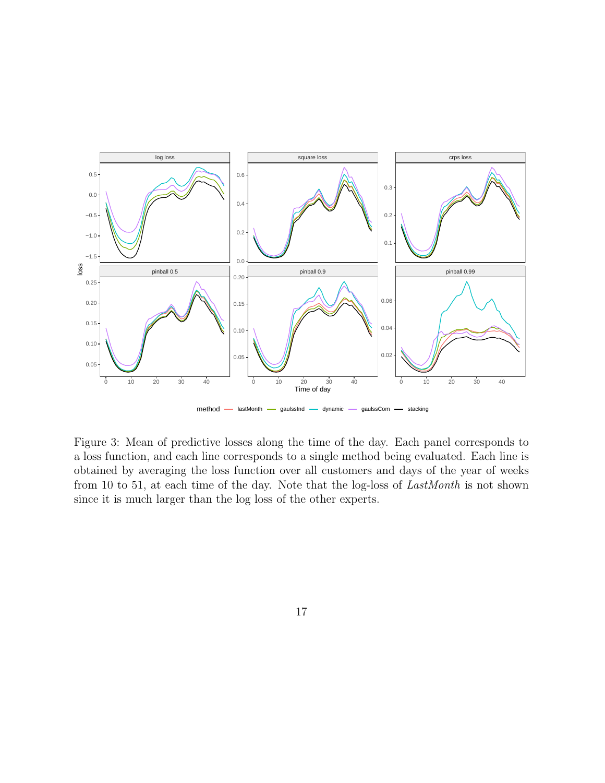

Figure 3: Mean of predictive losses along the time of the day. Each panel corresponds to a loss function, and each line corresponds to a single method being evaluated. Each line is obtained by averaging the loss function over all customers and days of the year of weeks from 10 to 51, at each time of the day. Note that the log-loss of LastMonth is not shown since it is much larger than the log loss of the other experts.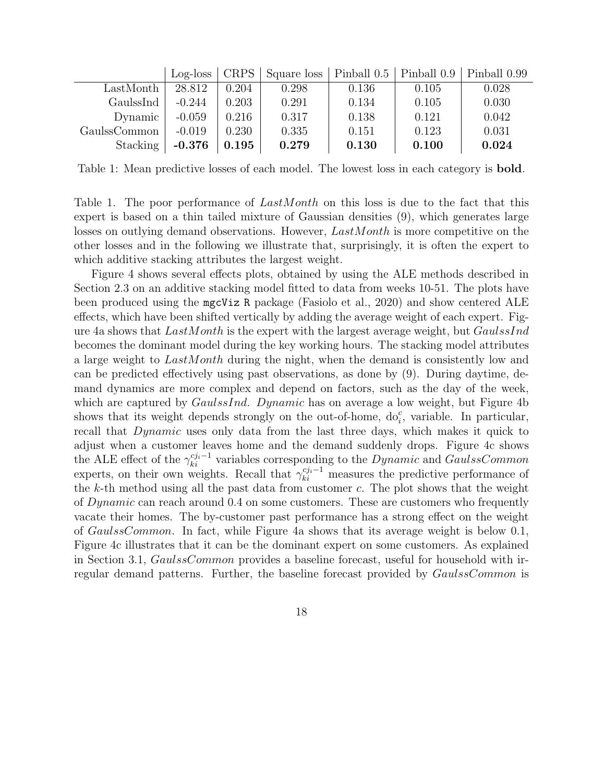|              | $Log-loss   CRPS  $ |       | $\mid$ Square loss   Pinball 0.5   Pinball 0.9   Pinball 0.99 |       |       |       |
|--------------|---------------------|-------|---------------------------------------------------------------|-------|-------|-------|
| LastMonth    | 28.812              | 0.204 | 0.298                                                         | 0.136 | 0.105 | 0.028 |
| GaulssInd    | $-0.244$            | 0.203 | 0.291                                                         | 0.134 | 0.105 | 0.030 |
| Dynamic      | $-0.059$            | 0.216 | 0.317                                                         | 0.138 | 0.121 | 0.042 |
| GaulssCommon | $-0.019$            | 0.230 | 0.335                                                         | 0.151 | 0.123 | 0.031 |
| Stacking     | $-0.376$            | 0.195 | 0.279                                                         | 0.130 | 0.100 | 0.024 |

Table 1: Mean predictive losses of each model. The lowest loss in each category is **bold**.

Table 1. The poor performance of *LastMonth* on this loss is due to the fact that this expert is based on a thin tailed mixture of Gaussian densities (9), which generates large losses on outlying demand observations. However,  $LastMonth$  is more competitive on the other losses and in the following we illustrate that, surprisingly, it is often the expert to which additive stacking attributes the largest weight.

Figure 4 shows several effects plots, obtained by using the ALE methods described in Section 2.3 on an additive stacking model fitted to data from weeks 10-51. The plots have been produced using the mgcViz R package (Fasiolo et al., 2020) and show centered ALE effects, which have been shifted vertically by adding the average weight of each expert. Figure 4a shows that  $LastMonth$  is the expert with the largest average weight, but  $GaulssInd$ becomes the dominant model during the key working hours. The stacking model attributes a large weight to LastMonth during the night, when the demand is consistently low and can be predicted effectively using past observations, as done by (9). During daytime, demand dynamics are more complex and depend on factors, such as the day of the week, which are captured by *GaulssInd. Dynamic* has on average a low weight, but Figure 4b shows that its weight depends strongly on the out-of-home,  $do_i^c$ , variable. In particular, recall that Dynamic uses only data from the last three days, which makes it quick to adjust when a customer leaves home and the demand suddenly drops. Figure 4c shows the ALE effect of the  $\gamma_{ki}^{c_{ji}-1}$  variables corresponding to the *Dynamic* and *GaulssCommon* experts, on their own weights. Recall that  $\gamma_{ki}^{c j_i-1}$  measures the predictive performance of the  $k$ -th method using all the past data from customer  $c$ . The plot shows that the weight of Dynamic can reach around 0.4 on some customers. These are customers who frequently vacate their homes. The by-customer past performance has a strong effect on the weight of GaulssCommon. In fact, while Figure 4a shows that its average weight is below 0.1, Figure 4c illustrates that it can be the dominant expert on some customers. As explained in Section 3.1, *GaulssCommon* provides a baseline forecast, useful for household with irregular demand patterns. Further, the baseline forecast provided by *GaulssCommon* is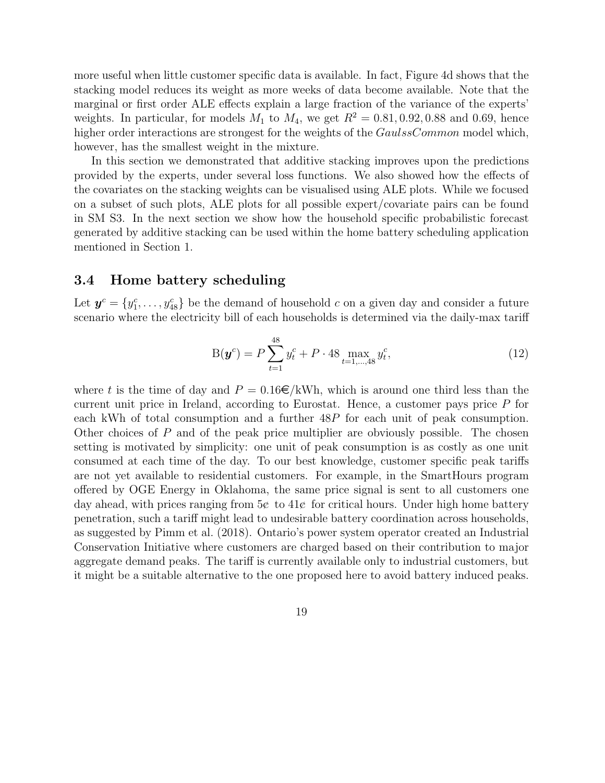more useful when little customer specific data is available. In fact, Figure 4d shows that the stacking model reduces its weight as more weeks of data become available. Note that the marginal or first order ALE effects explain a large fraction of the variance of the experts' weights. In particular, for models  $M_1$  to  $M_4$ , we get  $R^2 = 0.81, 0.92, 0.88$  and 0.69, hence higher order interactions are strongest for the weights of the GaulssCommon model which, however, has the smallest weight in the mixture.

In this section we demonstrated that additive stacking improves upon the predictions provided by the experts, under several loss functions. We also showed how the effects of the covariates on the stacking weights can be visualised using ALE plots. While we focused on a subset of such plots, ALE plots for all possible expert/covariate pairs can be found in SM S3. In the next section we show how the household specific probabilistic forecast generated by additive stacking can be used within the home battery scheduling application mentioned in Section 1.

#### 3.4 Home battery scheduling

Let  $y^c = \{y_1^c, \ldots, y_{48}^c\}$  be the demand of household c on a given day and consider a future scenario where the electricity bill of each households is determined via the daily-max tariff

$$
B(\mathbf{y}^c) = P \sum_{t=1}^{48} y_t^c + P \cdot 48 \max_{t=1,\dots,48} y_t^c,\tag{12}
$$

where t is the time of day and  $P = 0.16 \in \text{/kWh}$ , which is around one third less than the current unit price in Ireland, according to Eurostat. Hence, a customer pays price P for each kWh of total consumption and a further 48P for each unit of peak consumption. Other choices of  $P$  and of the peak price multiplier are obviously possible. The chosen setting is motivated by simplicity: one unit of peak consumption is as costly as one unit consumed at each time of the day. To our best knowledge, customer specific peak tariffs are not yet available to residential customers. For example, in the SmartHours program offered by OGE Energy in Oklahoma, the same price signal is sent to all customers one day ahead, with prices ranging from  $5\epsilon$  to  $41\epsilon$  for critical hours. Under high home battery penetration, such a tariff might lead to undesirable battery coordination across households, as suggested by Pimm et al. (2018). Ontario's power system operator created an Industrial Conservation Initiative where customers are charged based on their contribution to major aggregate demand peaks. The tariff is currently available only to industrial customers, but it might be a suitable alternative to the one proposed here to avoid battery induced peaks.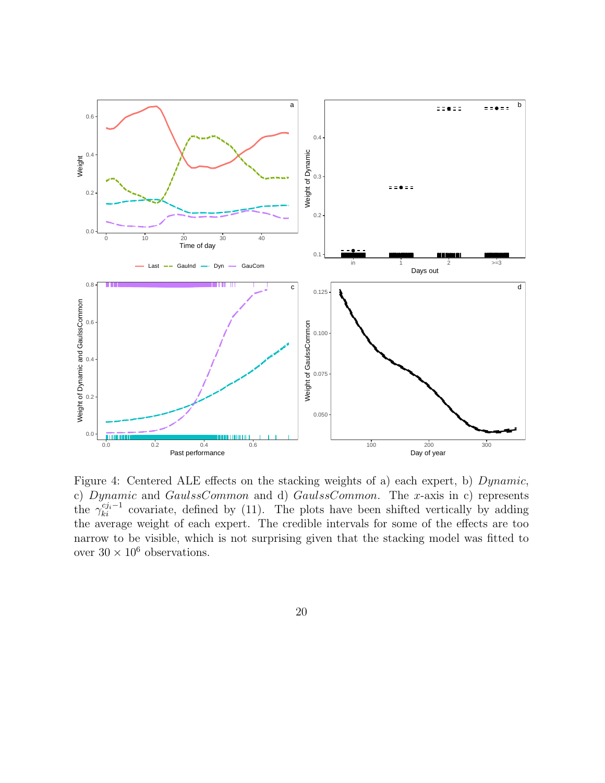

Figure 4: Centered ALE effects on the stacking weights of a) each expert, b) Dynamic, c) Dynamic and GaulssCommon and d) GaulssCommon. The x-axis in c) represents the  $\gamma_{ki}^{c j_i-1}$  covariate, defined by (11). The plots have been shifted vertically by adding the average weight of each expert. The credible intervals for some of the effects are too narrow to be visible, which is not surprising given that the stacking model was fitted to over  $30\times 10^6$  observations.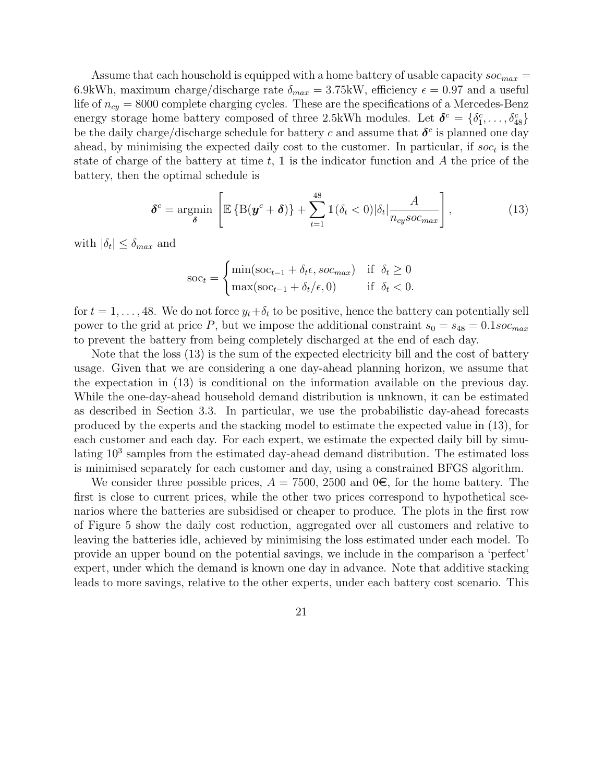Assume that each household is equipped with a home battery of usable capacity  $\mathit{soc}_{max}$  = 6.9kWh, maximum charge/discharge rate  $\delta_{max} = 3.75$ kW, efficiency  $\epsilon = 0.97$  and a useful life of  $n_{cy} = 8000$  complete charging cycles. These are the specifications of a Mercedes-Benz energy storage home battery composed of three 2.5kWh modules. Let  $\boldsymbol{\delta}^c = \{\delta_1^c, \ldots, \delta_{48}^c\}$ be the daily charge/discharge schedule for battery c and assume that  $\delta^c$  is planned one day ahead, by minimising the expected daily cost to the customer. In particular, if  $soc_t$  is the state of charge of the battery at time t,  $\mathbb{1}$  is the indicator function and A the price of the battery, then the optimal schedule is

$$
\delta^c = \underset{\delta}{\text{argmin}} \left[ \mathbb{E} \left\{ \mathcal{B}(\mathbf{y}^c + \delta) \right\} + \sum_{t=1}^{48} \mathbb{1} (\delta_t < 0) |\delta_t| \frac{A}{n_{cy} s o c_{max}} \right],\tag{13}
$$

with  $|\delta_t| \leq \delta_{max}$  and

$$
\text{soc}_t = \begin{cases} \min(\text{soc}_{t-1} + \delta_t \epsilon, \text{soc}_{\text{max}}) & \text{if } \delta_t \ge 0\\ \max(\text{soc}_{t-1} + \delta_t / \epsilon, 0) & \text{if } \delta_t < 0. \end{cases}
$$

for  $t = 1, \ldots, 48$ . We do not force  $y_t + \delta_t$  to be positive, hence the battery can potentially sell power to the grid at price P, but we impose the additional constraint  $s_0 = s_{48} = 0.1$  soc<sub>max</sub> to prevent the battery from being completely discharged at the end of each day.

Note that the loss (13) is the sum of the expected electricity bill and the cost of battery usage. Given that we are considering a one day-ahead planning horizon, we assume that the expectation in (13) is conditional on the information available on the previous day. While the one-day-ahead household demand distribution is unknown, it can be estimated as described in Section 3.3. In particular, we use the probabilistic day-ahead forecasts produced by the experts and the stacking model to estimate the expected value in (13), for each customer and each day. For each expert, we estimate the expected daily bill by simulating  $10<sup>3</sup>$  samples from the estimated day-ahead demand distribution. The estimated loss is minimised separately for each customer and day, using a constrained BFGS algorithm.

We consider three possible prices,  $A = 7500$ , 2500 and  $0\in$ , for the home battery. The first is close to current prices, while the other two prices correspond to hypothetical scenarios where the batteries are subsidised or cheaper to produce. The plots in the first row of Figure 5 show the daily cost reduction, aggregated over all customers and relative to leaving the batteries idle, achieved by minimising the loss estimated under each model. To provide an upper bound on the potential savings, we include in the comparison a 'perfect' expert, under which the demand is known one day in advance. Note that additive stacking leads to more savings, relative to the other experts, under each battery cost scenario. This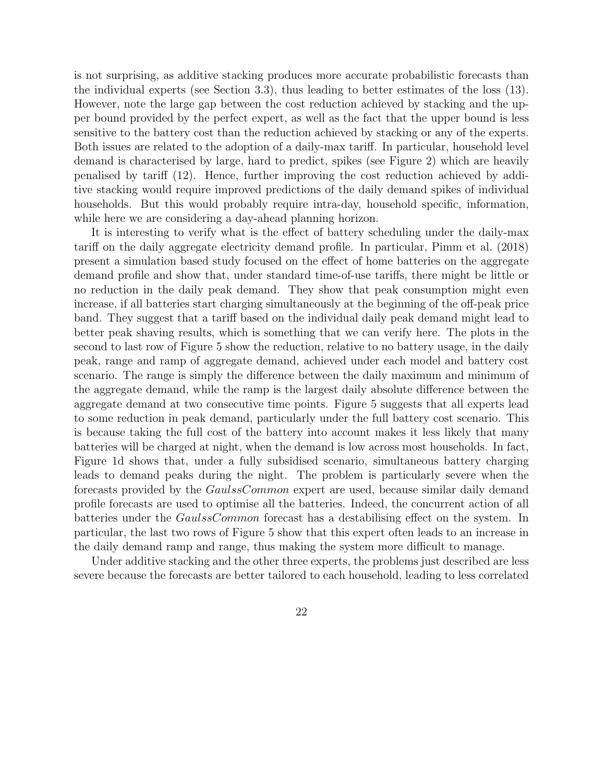is not surprising, as additive stacking produces more accurate probabilistic forecasts than the individual experts (see Section 3.3), thus leading to better estimates of the loss (13). However, note the large gap between the cost reduction achieved by stacking and the upper bound provided by the perfect expert, as well as the fact that the upper bound is less sensitive to the battery cost than the reduction achieved by stacking or any of the experts. Both issues are related to the adoption of a daily-max tariff. In particular, household level demand is characterised by large, hard to predict, spikes (see Figure 2) which are heavily penalised by tariff (12). Hence, further improving the cost reduction achieved by additive stacking would require improved predictions of the daily demand spikes of individual households. But this would probably require intra-day, household specific, information, while here we are considering a day-ahead planning horizon.

It is interesting to verify what is the effect of battery scheduling under the daily-max tariff on the daily aggregate electricity demand profile. In particular, Pimm et al. (2018) present a simulation based study focused on the effect of home batteries on the aggregate demand profile and show that, under standard time-of-use tariffs, there might be little or no reduction in the daily peak demand. They show that peak consumption might even increase, if all batteries start charging simultaneously at the beginning of the off-peak price band. They suggest that a tariff based on the individual daily peak demand might lead to better peak shaving results, which is something that we can verify here. The plots in the second to last row of Figure 5 show the reduction, relative to no battery usage, in the daily peak, range and ramp of aggregate demand, achieved under each model and battery cost scenario. The range is simply the difference between the daily maximum and minimum of the aggregate demand, while the ramp is the largest daily absolute difference between the aggregate demand at two consecutive time points. Figure 5 suggests that all experts lead to some reduction in peak demand, particularly under the full battery cost scenario. This is because taking the full cost of the battery into account makes it less likely that many batteries will be charged at night, when the demand is low across most households. In fact, Figure 1d shows that, under a fully subsidised scenario, simultaneous battery charging leads to demand peaks during the night. The problem is particularly severe when the forecasts provided by the GaulssCommon expert are used, because similar daily demand profile forecasts are used to optimise all the batteries. Indeed, the concurrent action of all batteries under the GaulssCommon forecast has a destabilising effect on the system. In particular, the last two rows of Figure 5 show that this expert often leads to an increase in the daily demand ramp and range, thus making the system more difficult to manage.

Under additive stacking and the other three experts, the problems just described are less severe because the forecasts are better tailored to each household, leading to less correlated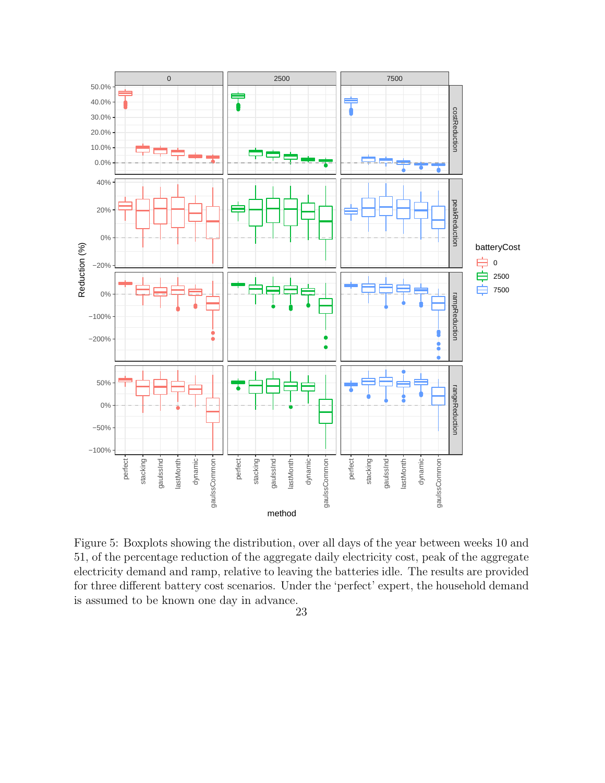

Figure 5: Boxplots showing the distribution, over all days of the year between weeks 10 and 51, of the percentage reduction of the aggregate daily electricity cost, peak of the aggregate electricity demand and ramp, relative to leaving the batteries idle. The results are provided for three different battery cost scenarios. Under the 'perfect' expert, the household demand is assumed to be known one day in advance.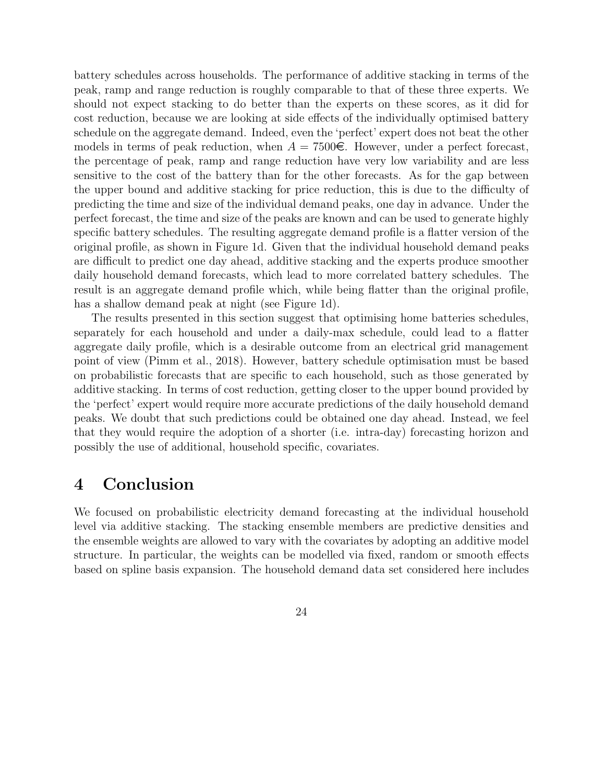battery schedules across households. The performance of additive stacking in terms of the peak, ramp and range reduction is roughly comparable to that of these three experts. We should not expect stacking to do better than the experts on these scores, as it did for cost reduction, because we are looking at side effects of the individually optimised battery schedule on the aggregate demand. Indeed, even the 'perfect' expert does not beat the other models in terms of peak reduction, when  $A = 7500\epsilon$ . However, under a perfect forecast, the percentage of peak, ramp and range reduction have very low variability and are less sensitive to the cost of the battery than for the other forecasts. As for the gap between the upper bound and additive stacking for price reduction, this is due to the difficulty of predicting the time and size of the individual demand peaks, one day in advance. Under the perfect forecast, the time and size of the peaks are known and can be used to generate highly specific battery schedules. The resulting aggregate demand profile is a flatter version of the original profile, as shown in Figure 1d. Given that the individual household demand peaks are difficult to predict one day ahead, additive stacking and the experts produce smoother daily household demand forecasts, which lead to more correlated battery schedules. The result is an aggregate demand profile which, while being flatter than the original profile, has a shallow demand peak at night (see Figure 1d).

The results presented in this section suggest that optimising home batteries schedules, separately for each household and under a daily-max schedule, could lead to a flatter aggregate daily profile, which is a desirable outcome from an electrical grid management point of view (Pimm et al., 2018). However, battery schedule optimisation must be based on probabilistic forecasts that are specific to each household, such as those generated by additive stacking. In terms of cost reduction, getting closer to the upper bound provided by the 'perfect' expert would require more accurate predictions of the daily household demand peaks. We doubt that such predictions could be obtained one day ahead. Instead, we feel that they would require the adoption of a shorter (i.e. intra-day) forecasting horizon and possibly the use of additional, household specific, covariates.

### 4 Conclusion

We focused on probabilistic electricity demand forecasting at the individual household level via additive stacking. The stacking ensemble members are predictive densities and the ensemble weights are allowed to vary with the covariates by adopting an additive model structure. In particular, the weights can be modelled via fixed, random or smooth effects based on spline basis expansion. The household demand data set considered here includes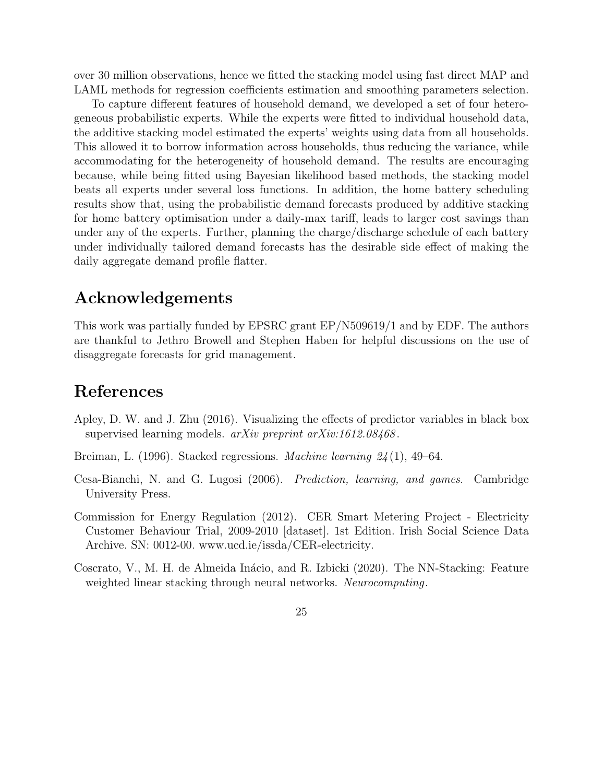over 30 million observations, hence we fitted the stacking model using fast direct MAP and LAML methods for regression coefficients estimation and smoothing parameters selection.

To capture different features of household demand, we developed a set of four heterogeneous probabilistic experts. While the experts were fitted to individual household data, the additive stacking model estimated the experts' weights using data from all households. This allowed it to borrow information across households, thus reducing the variance, while accommodating for the heterogeneity of household demand. The results are encouraging because, while being fitted using Bayesian likelihood based methods, the stacking model beats all experts under several loss functions. In addition, the home battery scheduling results show that, using the probabilistic demand forecasts produced by additive stacking for home battery optimisation under a daily-max tariff, leads to larger cost savings than under any of the experts. Further, planning the charge/discharge schedule of each battery under individually tailored demand forecasts has the desirable side effect of making the daily aggregate demand profile flatter.

### Acknowledgements

This work was partially funded by EPSRC grant EP/N509619/1 and by EDF. The authors are thankful to Jethro Browell and Stephen Haben for helpful discussions on the use of disaggregate forecasts for grid management.

### References

- Apley, D. W. and J. Zhu (2016). Visualizing the effects of predictor variables in black box supervised learning models. arXiv preprint arXiv:1612.08468.
- Breiman, L. (1996). Stacked regressions. Machine learning  $24(1)$ , 49–64.
- Cesa-Bianchi, N. and G. Lugosi (2006). Prediction, learning, and games. Cambridge University Press.
- Commission for Energy Regulation (2012). CER Smart Metering Project Electricity Customer Behaviour Trial, 2009-2010 [dataset]. 1st Edition. Irish Social Science Data Archive. SN: 0012-00. www.ucd.ie/issda/CER-electricity.
- Coscrato, V., M. H. de Almeida Inácio, and R. Izbicki (2020). The NN-Stacking: Feature weighted linear stacking through neural networks. Neurocomputing.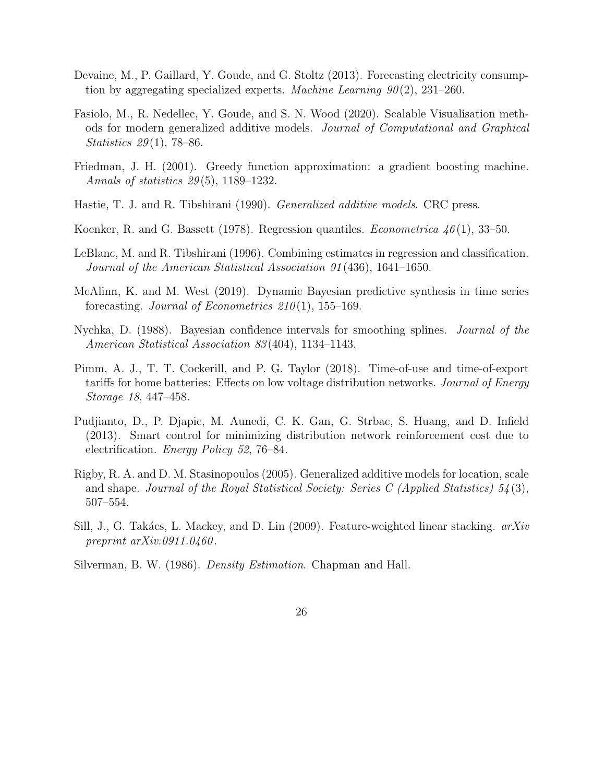- Devaine, M., P. Gaillard, Y. Goude, and G. Stoltz (2013). Forecasting electricity consumption by aggregating specialized experts. Machine Learning  $90(2)$ , 231–260.
- Fasiolo, M., R. Nedellec, Y. Goude, and S. N. Wood (2020). Scalable Visualisation methods for modern generalized additive models. Journal of Computational and Graphical Statistics 29(1), 78–86.
- Friedman, J. H. (2001). Greedy function approximation: a gradient boosting machine. Annals of statistics 29 (5), 1189–1232.
- Hastie, T. J. and R. Tibshirani (1990). Generalized additive models. CRC press.
- Koenker, R. and G. Bassett (1978). Regression quantiles. *Econometrica* 46(1), 33–50.
- LeBlanc, M. and R. Tibshirani (1996). Combining estimates in regression and classification. Journal of the American Statistical Association 91 (436), 1641–1650.
- McAlinn, K. and M. West (2019). Dynamic Bayesian predictive synthesis in time series forecasting. Journal of Econometrics  $210(1)$ , 155-169.
- Nychka, D. (1988). Bayesian confidence intervals for smoothing splines. Journal of the American Statistical Association 83 (404), 1134–1143.
- Pimm, A. J., T. T. Cockerill, and P. G. Taylor (2018). Time-of-use and time-of-export tariffs for home batteries: Effects on low voltage distribution networks. Journal of Energy Storage 18, 447–458.
- Pudjianto, D., P. Djapic, M. Aunedi, C. K. Gan, G. Strbac, S. Huang, and D. Infield (2013). Smart control for minimizing distribution network reinforcement cost due to electrification. Energy Policy 52, 76–84.
- Rigby, R. A. and D. M. Stasinopoulos (2005). Generalized additive models for location, scale and shape. Journal of the Royal Statistical Society: Series C (Applied Statistics)  $54(3)$ , 507–554.
- Sill, J., G. Takács, L. Mackey, and D. Lin (2009). Feature-weighted linear stacking.  $arXiv$ preprint  $arXiv:0911.0460$ .
- Silverman, B. W. (1986). Density Estimation. Chapman and Hall.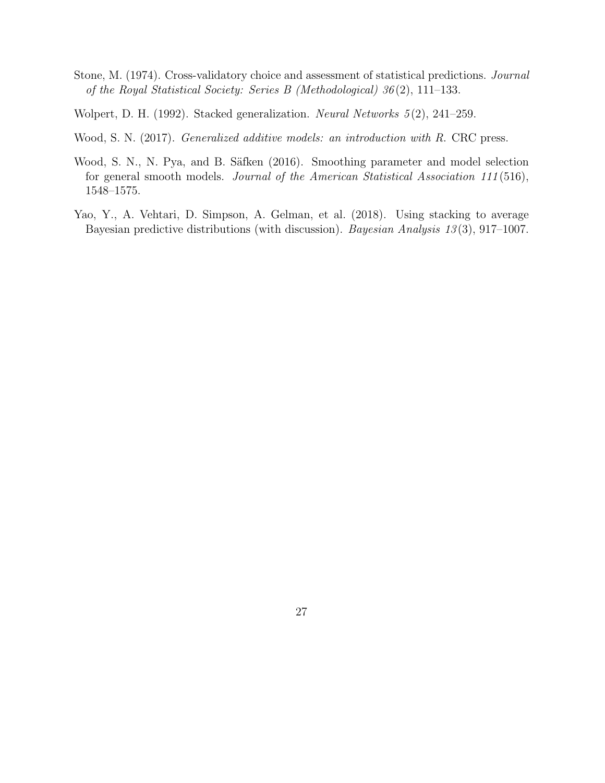- Stone, M. (1974). Cross-validatory choice and assessment of statistical predictions. Journal of the Royal Statistical Society: Series B (Methodological) 36 (2), 111–133.
- Wolpert, D. H. (1992). Stacked generalization. Neural Networks 5 (2), 241–259.
- Wood, S. N. (2017). Generalized additive models: an introduction with R. CRC press.
- Wood, S. N., N. Pya, and B. Säfken (2016). Smoothing parameter and model selection for general smooth models. Journal of the American Statistical Association 111 (516), 1548–1575.
- Yao, Y., A. Vehtari, D. Simpson, A. Gelman, et al. (2018). Using stacking to average Bayesian predictive distributions (with discussion). Bayesian Analysis 13(3), 917–1007.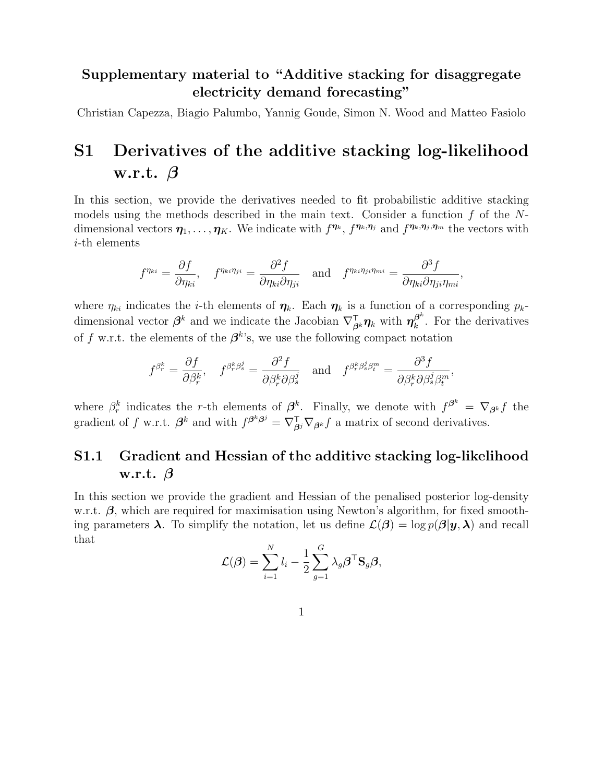### Supplementary material to "Additive stacking for disaggregate electricity demand forecasting"

Christian Capezza, Biagio Palumbo, Yannig Goude, Simon N. Wood and Matteo Fasiolo

# S1 Derivatives of the additive stacking log-likelihood w.r.t.  $\beta$

In this section, we provide the derivatives needed to fit probabilistic additive stacking models using the methods described in the main text. Consider a function  $f$  of the Ndimensional vectors  $\eta_1, \ldots, \eta_K$ . We indicate with  $f^{\eta_k}, f^{\eta_k, \eta_j}$  and  $f^{\eta_k, \eta_j, \eta_m}$  the vectors with i-th elements

$$
f^{\eta_{ki}} = \frac{\partial f}{\partial \eta_{ki}}, \quad f^{\eta_{ki}\eta_{ji}} = \frac{\partial^2 f}{\partial \eta_{ki}\partial \eta_{ji}} \quad \text{and} \quad f^{\eta_{ki}\eta_{ji}\eta_{mi}} = \frac{\partial^3 f}{\partial \eta_{ki}\partial \eta_{ji}\eta_{mi}},
$$

where  $\eta_{ki}$  indicates the *i*-th elements of  $\eta_k$ . Each  $\eta_k$  is a function of a corresponding  $p_k$ dimensional vector  $\beta^k$  and we indicate the Jacobian  $\nabla_{\beta^k}^{\mathsf{T}} \eta_k$  with  $\eta_k^{\beta^k}$  $\int_{k}^{\beta^{n}}$ . For the derivatives of f w.r.t. the elements of the  $\beta^k$ 's, we use the following compact notation

$$
f^{\beta_r^k} = \frac{\partial f}{\partial \beta_r^k}, \quad f^{\beta_r^k \beta_s^j} = \frac{\partial^2 f}{\partial \beta_r^k \partial \beta_s^j} \quad \text{and} \quad f^{\beta_r^k \beta_s^j \beta_t^m} = \frac{\partial^3 f}{\partial \beta_r^k \partial \beta_s^j \beta_t^m},
$$

where  $\beta_r^k$  indicates the r-th elements of  $\beta^k$ . Finally, we denote with  $f^{\beta^k} = \nabla_{\beta^k} f$  the gradient of f w.r.t.  $\beta^k$  and with  $f^{\beta^k\beta^j} = \nabla_{\beta^j}^{\mathsf{T}} \nabla_{\beta^k} f$  a matrix of second derivatives.

### S1.1 Gradient and Hessian of the additive stacking log-likelihood w.r.t.  $\beta$

In this section we provide the gradient and Hessian of the penalised posterior log-density w.r.t.  $\beta$ , which are required for maximisation using Newton's algorithm, for fixed smoothing parameters  $\lambda$ . To simplify the notation, let us define  $\mathcal{L}(\beta) = \log p(\beta | y, \lambda)$  and recall that

$$
\mathcal{L}(\boldsymbol{\beta}) = \sum_{i=1}^N l_i - \frac{1}{2} \sum_{g=1}^G \lambda_g \boldsymbol{\beta}^\top \mathbf{S}_g \boldsymbol{\beta},
$$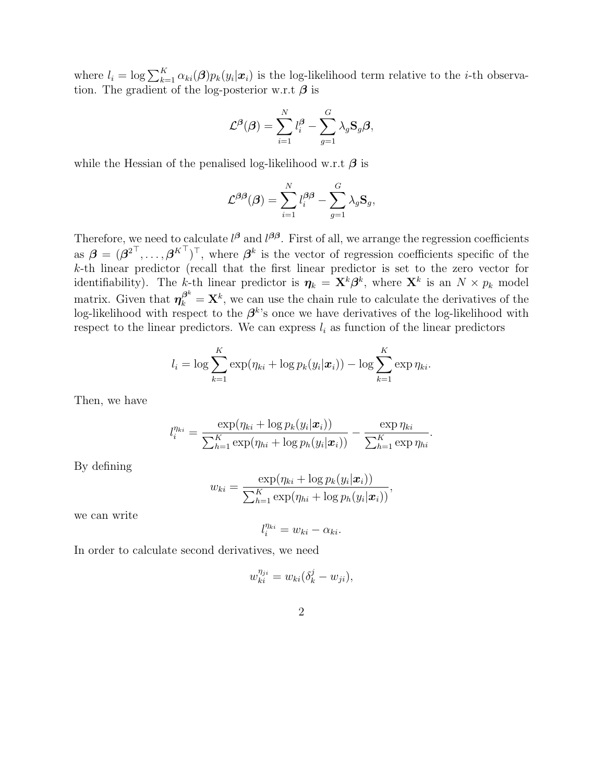where  $l_i = \log \sum_{k=1}^{K} \alpha_{ki}(\boldsymbol{\beta}) p_k(y_i|\boldsymbol{x}_i)$  is the log-likelihood term relative to the *i*-th observation. The gradient of the log-posterior w.r.t  $\beta$  is

$$
\mathcal{L}^{\beta}(\boldsymbol{\beta}) = \sum_{i=1}^{N} l_i^{\beta} - \sum_{g=1}^{G} \lambda_g \mathbf{S}_g \boldsymbol{\beta},
$$

while the Hessian of the penalised log-likelihood w.r.t  $\beta$  is

$$
\mathcal{L}^{\beta\beta}(\beta) = \sum_{i=1}^{N} l_i^{\beta\beta} - \sum_{g=1}^{G} \lambda_g \mathbf{S}_g,
$$

Therefore, we need to calculate  $l^{\beta}$  and  $l^{\beta\beta}$ . First of all, we arrange the regression coefficients as  $\boldsymbol{\beta} = (\boldsymbol{\beta}^2^\top, \dots, \boldsymbol{\beta}^{K^\top})^\top$ , where  $\boldsymbol{\beta}^k$  is the vector of regression coefficients specific of the k-th linear predictor (recall that the first linear predictor is set to the zero vector for identifiability). The k-th linear predictor is  $\eta_k = \mathbf{X}^k \boldsymbol{\beta}^k$ , where  $\mathbf{X}^k$  is an  $N \times p_k$  model matrix. Given that  $\boldsymbol{\eta}_k^{\beta^k} = \mathbf{X}^k$ , we can use the chain rule to calculate the derivatives of the log-likelihood with respect to the  $\beta^k$ 's once we have derivatives of the log-likelihood with respect to the linear predictors. We can express  $l_i$  as function of the linear predictors

$$
l_i = \log \sum_{k=1}^K \exp(\eta_{ki} + \log p_k(y_i|\boldsymbol{x}_i)) - \log \sum_{k=1}^K \exp \eta_{ki}.
$$

Then, we have

$$
l_i^{\eta_{ki}} = \frac{\exp(\eta_{ki} + \log p_k(y_i|\boldsymbol{x}_i))}{\sum_{h=1}^K \exp(\eta_{hi} + \log p_h(y_i|\boldsymbol{x}_i))} - \frac{\exp \eta_{ki}}{\sum_{h=1}^K \exp \eta_{hi}}.
$$

By defining

$$
w_{ki} = \frac{\exp(\eta_{ki} + \log p_k(y_i|\boldsymbol{x}_i))}{\sum_{h=1}^K \exp(\eta_{hi} + \log p_h(y_i|\boldsymbol{x}_i))},
$$

we can write

$$
l_i^{\eta_{ki}} = w_{ki} - \alpha_{ki}.
$$

In order to calculate second derivatives, we need

$$
w_{ki}^{\eta_{ji}} = w_{ki}(\delta_k^j - w_{ji}),
$$

$$
\mathbf{2}\phantom{0}
$$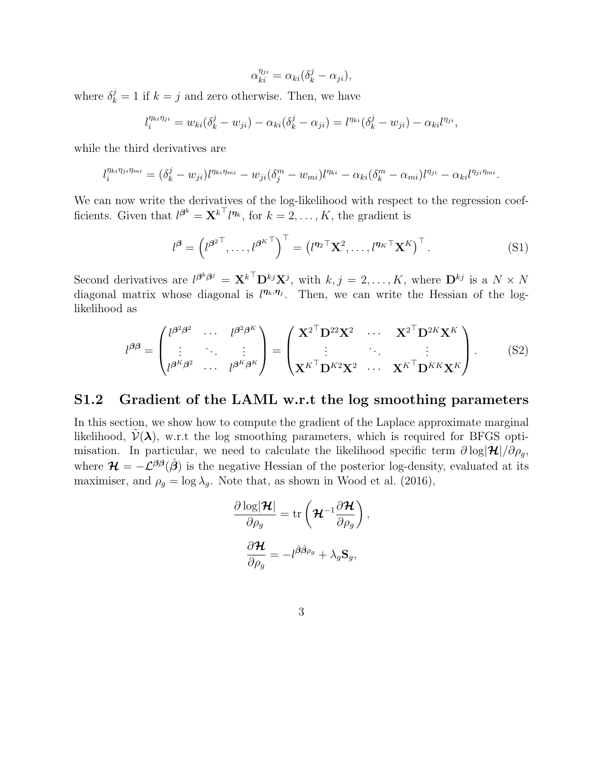$\alpha_{ki}^{\eta_{ji}} = \alpha_{ki} (\delta_k^j - \alpha_{ji}),$ 

where  $\delta_k^j = 1$  if  $k = j$  and zero otherwise. Then, we have

$$
l_i^{\eta_{ki}\eta_{ji}} = w_{ki}(\delta_k^j - w_{ji}) - \alpha_{ki}(\delta_k^j - \alpha_{ji}) = l^{\eta_{ki}}(\delta_k^j - w_{ji}) - \alpha_{ki}l^{\eta_{ji}},
$$

while the third derivatives are

$$
l_i^{\eta_{ki}\eta_{ji}\eta_{mi}} = (\delta_k^j - w_{ji})l^{\eta_{ki}\eta_{mi}} - w_{ji}(\delta_j^m - w_{mi})l^{\eta_{ki}} - \alpha_{ki}(\delta_k^m - \alpha_{mi})l^{\eta_{ji}} - \alpha_{ki}l^{\eta_{ji}\eta_{mi}}.
$$

We can now write the derivatives of the log-likelihood with respect to the regression coefficients. Given that  $l^{\beta^k} = \mathbf{X}^{k^\top} l^{\eta_k}$ , for  $k = 2, \ldots, K$ , the gradient is

$$
l^{\beta} = \left(l^{\beta^2}, \ldots, l^{\beta^K} \right)^{\top} = \left(l^{\eta_2 \top} \mathbf{X}^2, \ldots, l^{\eta_K \top} \mathbf{X}^K \right)^{\top}.
$$
 (S1)

Second derivatives are  $l^{\beta^k\beta^j} = \mathbf{X}^{k^\top} \mathbf{D}^{kj} \mathbf{X}^j$ , with  $k, j = 2, ..., K$ , where  $\mathbf{D}^{kj}$  is a  $N \times N$ diagonal matrix whose diagonal is  $l^{\eta_k,\eta_j}$ . Then, we can write the Hessian of the loglikelihood as

$$
l^{\beta\beta} = \begin{pmatrix} l^{\beta^2\beta^2} & \cdots & l^{\beta^2\beta^K} \\ \vdots & \ddots & \vdots \\ l^{\beta^K\beta^2} & \cdots & l^{\beta^K\beta^K} \end{pmatrix} = \begin{pmatrix} \mathbf{X}^{2^{\top}}\mathbf{D}^{22}\mathbf{X}^2 & \cdots & \mathbf{X}^{2^{\top}}\mathbf{D}^{2K}\mathbf{X}^K \\ \vdots & \ddots & \vdots \\ \mathbf{X}^{K^{\top}}\mathbf{D}^{K2}\mathbf{X}^2 & \cdots & \mathbf{X}^{K^{\top}}\mathbf{D}^{KK}\mathbf{X}^K \end{pmatrix}.
$$
 (S2)

#### S1.2 Gradient of the LAML w.r.t the log smoothing parameters

In this section, we show how to compute the gradient of the Laplace approximate marginal likelihood,  $\mathcal{V}(\lambda)$ , w.r.t the log smoothing parameters, which is required for BFGS optimisation. In particular, we need to calculate the likelihood specific term  $\partial \log |\mathcal{H}|/\partial \rho_q$ , where  $\mathcal{H} = -\mathcal{L}^{\beta\beta}(\hat{\beta})$  is the negative Hessian of the posterior log-density, evaluated at its maximiser, and  $\rho_q = \log \lambda_q$ . Note that, as shown in Wood et al. (2016),

$$
\dfrac{\partial \log \lvert \boldsymbol{\mathcal{H}} \rvert}{\partial \rho_g} = \mathrm{tr}\left(\boldsymbol{\mathcal{H}}^{-1}\dfrac{\partial \boldsymbol{\mathcal{H}}}{\partial \rho_g} \right),
$$
\n
$$
\dfrac{\partial \boldsymbol{\mathcal{H}}}{\partial \rho_g} = -l^{\hat{\boldsymbol{\beta}}\hat{\boldsymbol{\beta}}\rho_g} + \lambda_g \mathbf{S}_g,
$$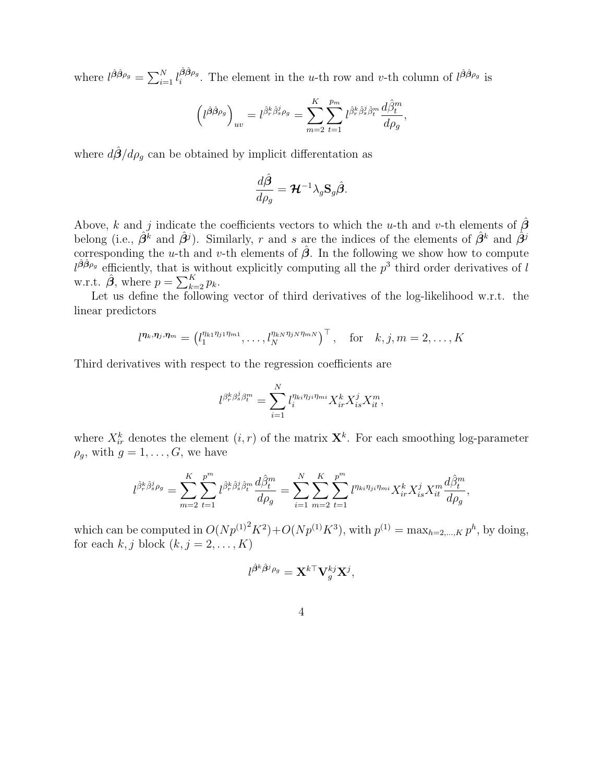where  $l^{\hat{\beta}\hat{\beta}\rho_g} = \sum_{i=1}^N l_i^{\hat{\beta}\hat{\beta}\rho_g}$  $\frac{\beta \beta \rho_g}{i}$ . The element in the *u*-th row and *v*-th column of  $l^{\hat{\beta}\hat{\beta}\rho_g}$  is

$$
\left(l^{\hat{\beta}\hat{\beta}\rho_g}\right)_{uv} = l^{\hat{\beta}^k_r\hat{\beta}^j_s\rho_g} = \sum_{m=2}^K \sum_{t=1}^{p_m} l^{\hat{\beta}^k_r\hat{\beta}^j_s\hat{\beta}^m_t} \frac{d\hat{\beta}^m_t}{d\rho_g},
$$

where  $d\hat{\beta}/d\rho_q$  can be obtained by implicit differentation as

$$
\frac{d\hat{\boldsymbol{\beta}}}{d\rho_g} = \boldsymbol{\mathcal{H}}^{-1} \lambda_g \mathbf{S}_g \hat{\boldsymbol{\beta}}.
$$

Above, k and j indicate the coefficients vectors to which the u-th and v-th elements of  $\hat{\boldsymbol{\beta}}$ belong (i.e.,  $\hat{\beta}^k$  and  $\hat{\beta}^j$ ). Similarly, r and s are the indices of the elements of  $\hat{\beta}^k$  and  $\hat{\beta}^j$ corresponding the u-th and v-th elements of  $\hat{\beta}$ . In the following we show how to compute  $l^{\hat{\beta}\hat{\beta}\rho_g}$  efficiently, that is without explicitly computing all the  $p^3$  third order derivatives of l w.r.t.  $\hat{\boldsymbol{\beta}}$ , where  $p = \sum_{k=2}^{K} p_k$ .

Let us define the following vector of third derivatives of the log-likelihood w.r.t. the linear predictors

$$
l^{\eta_k, \eta_j, \eta_m} = \left(l_1^{\eta_{k1}\eta_{j1}\eta_{m1}}, \ldots, l_N^{\eta_{kN}\eta_{jN}\eta_{mN}}\right)^\top, \quad \text{for} \quad k, j, m = 2, \ldots, K
$$

Third derivatives with respect to the regression coefficients are

$$
l^{\beta_r^k \beta_s^j \beta_t^m} = \sum_{i=1}^N l_i^{\eta_{ki}\eta_{ji}\eta_{mi}} X_{ir}^k X_{is}^j X_{it}^m,
$$

where  $X_{ir}^k$  denotes the element  $(i, r)$  of the matrix  $\mathbf{X}^k$ . For each smoothing log-parameter  $\rho_q$ , with  $g = 1, \ldots, G$ , we have

$$
l^{\hat{\beta}_r^k \hat{\beta}_s^j \rho_g} = \sum_{m=2}^K \sum_{t=1}^{p^m} l^{\hat{\beta}_r^k \hat{\beta}_s^j \hat{\beta}_t^m} \frac{d\hat{\beta}_t^m}{d\rho_g} = \sum_{i=1}^N \sum_{m=2}^K \sum_{t=1}^{p^m} l^{\eta_{ki} \eta_{ji} \eta_{mi}} X_{ir}^k X_{is}^j X_{it}^m \frac{d\hat{\beta}_t^m}{d\rho_g},
$$

which can be computed in  $O(Np^{(1)}^2K^2) + O(Np^{(1)}K^3)$ , with  $p^{(1)} = \max_{h=2,\dots,K} p^h$ , by doing, for each k, j block  $(k, j = 2, \ldots, K)$ 

$$
l^{\hat{\boldsymbol{\beta}}^k\hat{\boldsymbol{\beta}}^j\rho_g} = \mathbf{X}^{k\top}\mathbf{V}^{kj}_g\mathbf{X}^j,
$$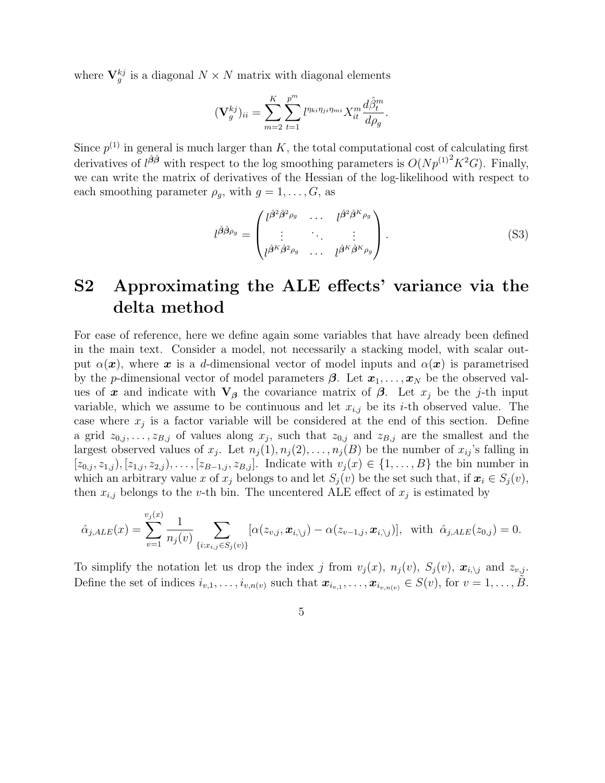where  $\mathbf{V}_g^{kj}$  is a diagonal  $N \times N$  matrix with diagonal elements

$$
(\mathbf{V}_g^{kj})_{ii} = \sum_{m=2}^K \sum_{t=1}^{p^m} l^{\eta_{ki}\eta_{ji}\eta_{mi}} X_{it}^m \frac{d\hat{\beta}_t^m}{d\rho_g}.
$$

Since  $p^{(1)}$  in general is much larger than K, the total computational cost of calculating first derivatives of  $l^{\hat{\beta}\hat{\beta}}$  with respect to the log smoothing parameters is  $O(Np^{(1)^2}K^2G)$ . Finally, we can write the matrix of derivatives of the Hessian of the log-likelihood with respect to each smoothing parameter  $\rho_g$ , with  $g = 1, \ldots, G$ , as

$$
l^{\hat{\beta}\hat{\beta}\rho_g} = \begin{pmatrix} l^{\hat{\beta}^2\hat{\beta}^2\rho_g} & \cdots & l^{\hat{\beta}^2\hat{\beta}^K\rho_g} \\ \vdots & \ddots & \vdots \\ l^{\hat{\beta}^K\hat{\beta}^2\rho_g} & \cdots & l^{\hat{\beta}^K\hat{\beta}^K\rho_g} \end{pmatrix} .
$$
 (S3)

# S2 Approximating the ALE effects' variance via the delta method

For ease of reference, here we define again some variables that have already been defined in the main text. Consider a model, not necessarily a stacking model, with scalar output  $\alpha(x)$ , where x is a d-dimensional vector of model inputs and  $\alpha(x)$  is parametrised by the p-dimensional vector of model parameters  $\beta$ . Let  $x_1, \ldots, x_N$  be the observed values of x and indicate with  $V_\beta$  the covariance matrix of  $\beta$ . Let  $x_j$  be the j-th input variable, which we assume to be continuous and let  $x_{i,j}$  be its *i*-th observed value. The case where  $x_j$  is a factor variable will be considered at the end of this section. Define a grid  $z_{0,j}, \ldots, z_{B,j}$  of values along  $x_j$ , such that  $z_{0,j}$  and  $z_{B,j}$  are the smallest and the largest observed values of  $x_j$ . Let  $n_j(1), n_j(2), \ldots, n_j(B)$  be the number of  $x_{ij}$ 's falling in  $[z_{0,j}, z_{1,j}), [z_{1,j}, z_{2,j}), \ldots, [z_{B-1,j}, z_{B,j}].$  Indicate with  $v_j(x) \in \{1, \ldots, B\}$  the bin number in which an arbitrary value x of  $x_j$  belongs to and let  $S_i(v)$  be the set such that, if  $x_i \in S_i(v)$ , then  $x_{i,j}$  belongs to the v-th bin. The uncentered ALE effect of  $x_j$  is estimated by

$$
\hat{\alpha}_{j,ALE}(x) = \sum_{v=1}^{v_j(x)} \frac{1}{n_j(v)} \sum_{\{i:x_{i,j} \in S_j(v)\}} [\alpha(z_{v,j}, x_{i,\setminus j}) - \alpha(z_{v-1,j}, x_{i,\setminus j})], \text{ with } \hat{\alpha}_{j,ALE}(z_{0,j}) = 0.
$$

To simplify the notation let us drop the index j from  $v_j(x)$ ,  $n_j(v)$ ,  $S_j(v)$ ,  $\mathbf{x}_{i \setminus j}$  and  $z_{v,j}$ . Define the set of indices  $i_{v,1},\ldots,i_{v,n(v)}$  such that  $\boldsymbol{x}_{i_{v,1}},\ldots,\boldsymbol{x}_{i_{v,n(v)}}\in S(v)$ , for  $v=1,\ldots,\tilde{B}$ .

$$
5\,
$$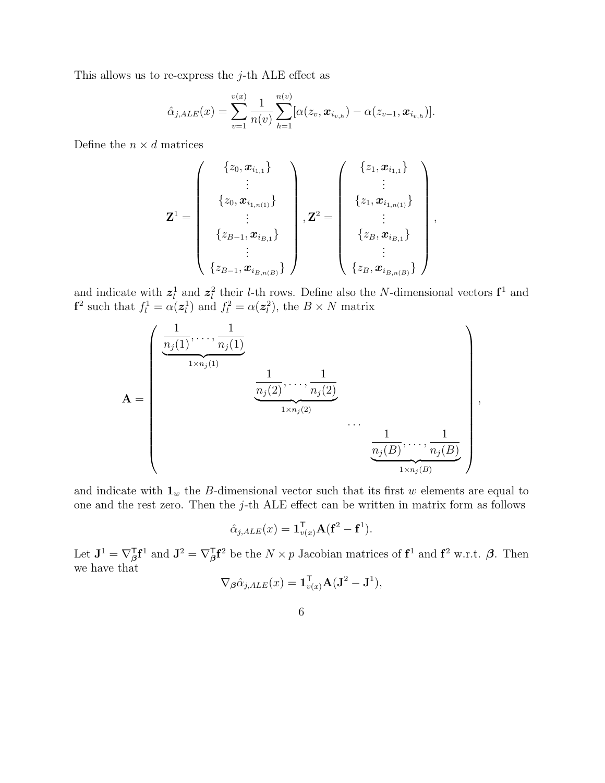This allows us to re-express the  $j$ -th ALE effect as

$$
\hat{\alpha}_{j,ALE}(x) = \sum_{v=1}^{v(x)} \frac{1}{n(v)} \sum_{h=1}^{n(v)} [\alpha(z_v, \boldsymbol{x}_{i_{v,h}}) - \alpha(z_{v-1}, \boldsymbol{x}_{i_{v,h}})].
$$

Define the  $n \times d$  matrices

$$
\mathbf{Z}^{1} = \left(\begin{array}{c} \{z_{0}, \boldsymbol{x}_{i_{1,1}}\} \\ \vdots \\ \{z_{0}, \boldsymbol{x}_{i_{1,n(1)}}\} \\ \vdots \\ \{z_{B-1}, \boldsymbol{x}_{i_{B,1}}\} \\ \vdots \\ \{z_{B-1}, \boldsymbol{x}_{i_{B,n(B)}}\} \end{array}\right), \mathbf{Z}^{2} = \left(\begin{array}{c} \{z_{1}, \boldsymbol{x}_{i_{1,1}}\} \\ \vdots \\ \{z_{1}, \boldsymbol{x}_{i_{1,n(1}}\} \\ \vdots \\ \{z_{B}, \boldsymbol{x}_{i_{B,1}}\} \\ \vdots \\ \{z_{B}, \boldsymbol{x}_{i_{B,n(B)}}\} \end{array}\right),
$$

and indicate with  $z_l^1$  and  $z_l^2$  their *l*-th rows. Define also the *N*-dimensional vectors  $\mathbf{f}^1$  and  $f^2$  such that  $f_l^1 = \alpha(\mathbf{z}_l^1)$  and  $f_l^2 = \alpha(\mathbf{z}_l^2)$ , the  $B \times N$  matrix

$$
\mathbf{A} = \begin{pmatrix} \frac{1}{n_j(1)}, \dots, \frac{1}{n_j(1)} & & & \\ \frac{1}{n_j(1)}, \dots, \frac{1}{n_j(2)}, \dots, \frac{1}{n_j(2)} & & \\ & \frac{1}{n_j(2)}, \dots, \frac{1}{n_j(2)} & \\ & & \dots & \\ & & & \frac{1}{n_j(B)}, \dots, \frac{1}{n_j(B)} \\ & & & & \frac{1}{n_j(B)}, \dots, \frac{1}{n_j(B)} \end{pmatrix},
$$

and indicate with  $\mathbf{1}_w$  the B-dimensional vector such that its first w elements are equal to one and the rest zero. Then the j-th ALE effect can be written in matrix form as follows

$$
\hat{\alpha}_{j,ALE}(x) = \mathbf{1}_{v(x)}^{\mathsf{T}} \mathbf{A} (\mathbf{f}^2 - \mathbf{f}^1).
$$

Let  $\mathbf{J}^1 = \nabla_{\boldsymbol{\beta}}^{\mathsf{T}} \mathbf{f}^1$  and  $\mathbf{J}^2 = \nabla_{\boldsymbol{\beta}}^{\mathsf{T}} \mathbf{f}^2$  be the  $N \times p$  Jacobian matrices of  $\mathbf{f}^1$  and  $\mathbf{f}^2$  w.r.t.  $\boldsymbol{\beta}$ . Then we have that

$$
\nabla_{\boldsymbol{\beta}} \hat{\alpha}_{j,ALE}(x) = \mathbf{1}_{v(x)}^{\mathsf{T}} \mathbf{A} (\mathbf{J}^2 - \mathbf{J}^1),
$$

6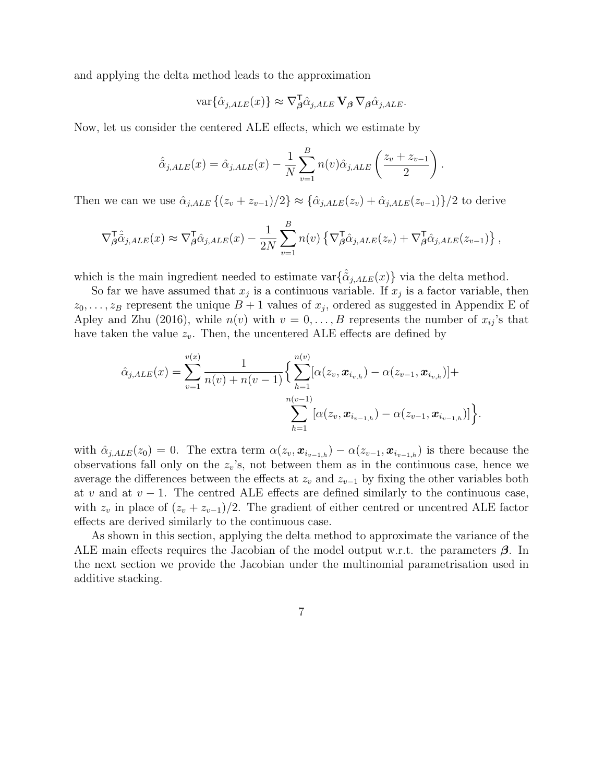and applying the delta method leads to the approximation

$$
\text{var}\{\hat{\alpha}_{j,ALE}(x)\}\approx \nabla_{\beta}^{\mathsf{T}}\hat{\alpha}_{j,ALE}\,\mathbf{V}_{\beta}\,\nabla_{\beta}\hat{\alpha}_{j,ALE}.
$$

Now, let us consider the centered ALE effects, which we estimate by

$$
\hat{\tilde{\alpha}}_{j,ALE}(x) = \hat{\alpha}_{j,ALE}(x) - \frac{1}{N} \sum_{v=1}^{B} n(v)\hat{\alpha}_{j,ALE}\left(\frac{z_v + z_{v-1}}{2}\right).
$$

Then we can we use  $\hat{\alpha}_{j,ALE} \{(z_v + z_{v-1})/2\} \approx \{\hat{\alpha}_{j,ALE}(z_v) + \hat{\alpha}_{j,ALE}(z_{v-1})\}/2$  to derive

$$
\nabla_{\beta}^{\mathsf{T}} \hat{\alpha}_{j,ALE}(x) \approx \nabla_{\beta}^{\mathsf{T}} \hat{\alpha}_{j,ALE}(x) - \frac{1}{2N} \sum_{v=1}^{B} n(v) \left\{ \nabla_{\beta}^{\mathsf{T}} \hat{\alpha}_{j,ALE}(z_v) + \nabla_{\beta}^{\mathsf{T}} \hat{\alpha}_{j,ALE}(z_{v-1}) \right\},
$$

which is the main ingredient needed to estimate var $\{\hat{\alpha}_{i,ALE}(x)\}\$  via the delta method.

So far we have assumed that  $x_j$  is a continuous variable. If  $x_j$  is a factor variable, then  $z_0, \ldots, z_B$  represent the unique  $B + 1$  values of  $x_j$ , ordered as suggested in Appendix E of Apley and Zhu (2016), while  $n(v)$  with  $v = 0, \ldots, B$  represents the number of  $x_{ij}$ 's that have taken the value  $z_v$ . Then, the uncentered ALE effects are defined by

$$
\hat{\alpha}_{j,ALE}(x) = \sum_{v=1}^{v(x)} \frac{1}{n(v) + n(v-1)} \Big\{ \sum_{h=1}^{n(v)} [\alpha(z_v, \boldsymbol{x}_{i_{v,h}}) - \alpha(z_{v-1}, \boldsymbol{x}_{i_{v,h}})] + \sum_{h=1}^{n(v-1)} [\alpha(z_v, \boldsymbol{x}_{i_{v-1,h}}) - \alpha(z_{v-1}, \boldsymbol{x}_{i_{v-1,h}})] \Big\}.
$$

with  $\hat{\alpha}_{j,ALE}(z_0) = 0$ . The extra term  $\alpha(z_v, \boldsymbol{x}_{i_{v-1,h}}) - \alpha(z_{v-1}, \boldsymbol{x}_{i_{v-1,h}})$  is there because the observations fall only on the  $z_v$ 's, not between them as in the continuous case, hence we average the differences between the effects at  $z_v$  and  $z_{v-1}$  by fixing the other variables both at v and at  $v-1$ . The centred ALE effects are defined similarly to the continuous case, with  $z_v$  in place of  $(z_v + z_{v-1})/2$ . The gradient of either centred or uncentred ALE factor effects are derived similarly to the continuous case.

As shown in this section, applying the delta method to approximate the variance of the ALE main effects requires the Jacobian of the model output w.r.t. the parameters  $\beta$ . In the next section we provide the Jacobian under the multinomial parametrisation used in additive stacking.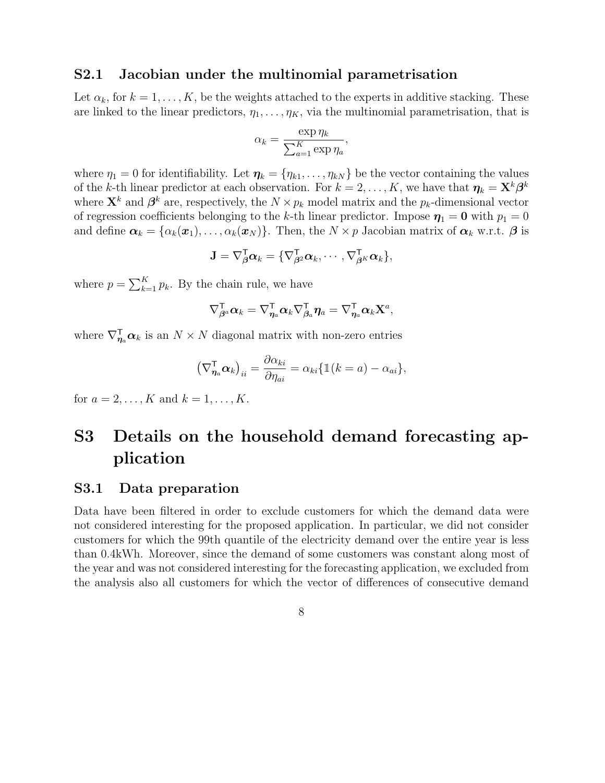#### S2.1 Jacobian under the multinomial parametrisation

Let  $\alpha_k$ , for  $k = 1, \ldots, K$ , be the weights attached to the experts in additive stacking. These are linked to the linear predictors,  $\eta_1, \ldots, \eta_K$ , via the multinomial parametrisation, that is

$$
\alpha_k = \frac{\exp \eta_k}{\sum_{a=1}^K \exp \eta_a},
$$

where  $\eta_1 = 0$  for identifiability. Let  $\eta_k = {\eta_{k1}, \dots, \eta_{kN}}$  be the vector containing the values of the k-th linear predictor at each observation. For  $k = 2, \ldots, K$ , we have that  $\eta_k = \mathbf{X}^k \boldsymbol{\beta}^k$ where  $\mathbf{X}^k$  and  $\boldsymbol{\beta}^k$  are, respectively, the  $N \times p_k$  model matrix and the  $p_k$ -dimensional vector of regression coefficients belonging to the k-th linear predictor. Impose  $\eta_1 = 0$  with  $p_1 = 0$ and define  $\boldsymbol{\alpha}_k = {\alpha_k(\boldsymbol{x}_1), \dots, \alpha_k(\boldsymbol{x}_N)}$ . Then, the  $N \times p$  Jacobian matrix of  $\boldsymbol{\alpha}_k$  w.r.t.  $\boldsymbol{\beta}$  is

$$
\mathbf{J} = \nabla_{\boldsymbol{\beta}}^{\mathsf{T}} \boldsymbol{\alpha}_k = \{ \nabla_{\boldsymbol{\beta}^2}^{\mathsf{T}} \boldsymbol{\alpha}_k, \cdots, \nabla_{\boldsymbol{\beta}^K}^{\mathsf{T}} \boldsymbol{\alpha}_k \},
$$

where  $p = \sum_{k=1}^{K} p_k$ . By the chain rule, we have

$$
\nabla^\mathsf{T}_{\boldsymbol\beta^a} \boldsymbol\alpha_k = \nabla^\mathsf{T}_{\boldsymbol\eta_a} \boldsymbol\alpha_k \nabla^\mathsf{T}_{\boldsymbol\beta_a} \boldsymbol\eta_a = \nabla^\mathsf{T}_{\boldsymbol\eta_a} \boldsymbol\alpha_k \mathbf{X}^a,
$$

where  $\nabla_{\eta_a}^{\mathsf{T}} \alpha_k$  is an  $N \times N$  diagonal matrix with non-zero entries

$$
\left(\nabla_{\eta_a}^{\mathsf{T}} \boldsymbol{\alpha}_k\right)_{ii} = \frac{\partial \alpha_{ki}}{\partial \eta_{ai}} = \alpha_{ki} \{ \mathbb{1}(k = a) - \alpha_{ai} \},\
$$

for  $a = 2, ..., K$  and  $k = 1, ..., K$ .

# S3 Details on the household demand forecasting application

### S3.1 Data preparation

Data have been filtered in order to exclude customers for which the demand data were not considered interesting for the proposed application. In particular, we did not consider customers for which the 99th quantile of the electricity demand over the entire year is less than 0.4kWh. Moreover, since the demand of some customers was constant along most of the year and was not considered interesting for the forecasting application, we excluded from the analysis also all customers for which the vector of differences of consecutive demand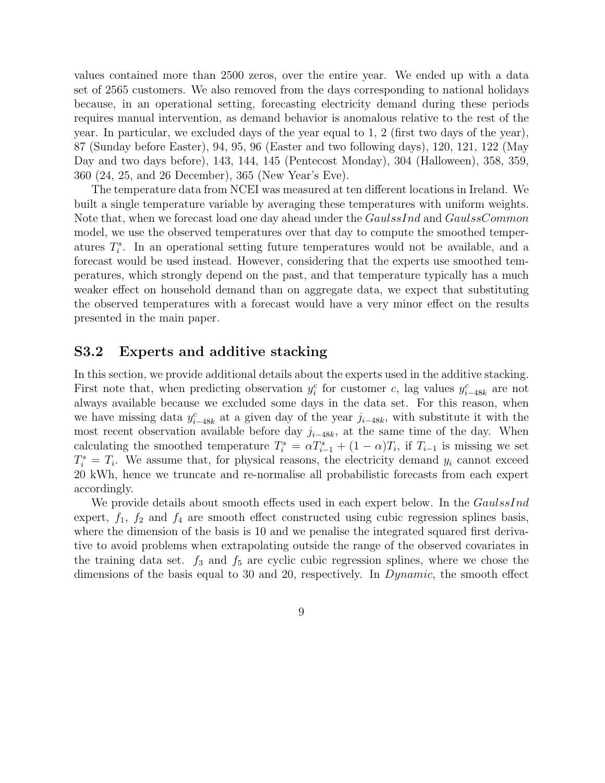values contained more than 2500 zeros, over the entire year. We ended up with a data set of 2565 customers. We also removed from the days corresponding to national holidays because, in an operational setting, forecasting electricity demand during these periods requires manual intervention, as demand behavior is anomalous relative to the rest of the year. In particular, we excluded days of the year equal to 1, 2 (first two days of the year), 87 (Sunday before Easter), 94, 95, 96 (Easter and two following days), 120, 121, 122 (May Day and two days before), 143, 144, 145 (Pentecost Monday), 304 (Halloween), 358, 359, 360 (24, 25, and 26 December), 365 (New Year's Eve).

The temperature data from NCEI was measured at ten different locations in Ireland. We built a single temperature variable by averaging these temperatures with uniform weights. Note that, when we forecast load one day ahead under the *GaulssInd* and *GaulssCommon* model, we use the observed temperatures over that day to compute the smoothed temperatures  $T_i^s$ . In an operational setting future temperatures would not be available, and a forecast would be used instead. However, considering that the experts use smoothed temperatures, which strongly depend on the past, and that temperature typically has a much weaker effect on household demand than on aggregate data, we expect that substituting the observed temperatures with a forecast would have a very minor effect on the results presented in the main paper.

### S3.2 Experts and additive stacking

In this section, we provide additional details about the experts used in the additive stacking. First note that, when predicting observation  $y_i^c$  for customer c, lag values  $y_{i-48k}^c$  are not always available because we excluded some days in the data set. For this reason, when we have missing data  $y_{i-48k}^c$  at a given day of the year  $j_{i-48k}$ , with substitute it with the most recent observation available before day  $j_{i-48k}$ , at the same time of the day. When calculating the smoothed temperature  $T_i^s = \alpha T_{i-1}^s + (1 - \alpha)T_i$ , if  $T_{i-1}$  is missing we set  $T_i^s = T_i$ . We assume that, for physical reasons, the electricity demand  $y_i$  cannot exceed 20 kWh, hence we truncate and re-normalise all probabilistic forecasts from each expert accordingly.

We provide details about smooth effects used in each expert below. In the GaulssInd expert,  $f_1$ ,  $f_2$  and  $f_4$  are smooth effect constructed using cubic regression splines basis, where the dimension of the basis is 10 and we penalise the integrated squared first derivative to avoid problems when extrapolating outside the range of the observed covariates in the training data set.  $f_3$  and  $f_5$  are cyclic cubic regression splines, where we chose the dimensions of the basis equal to 30 and 20, respectively. In *Dynamic*, the smooth effect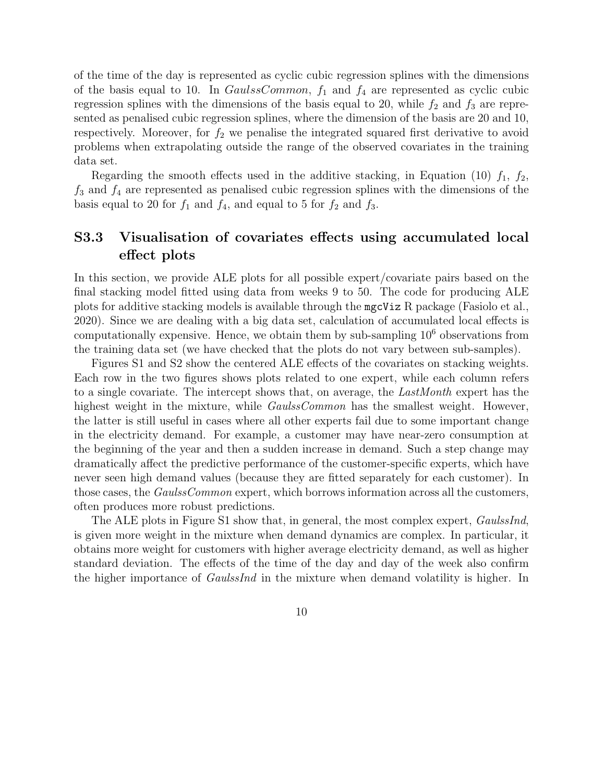of the time of the day is represented as cyclic cubic regression splines with the dimensions of the basis equal to 10. In  $GaulssCommon$ ,  $f_1$  and  $f_4$  are represented as cyclic cubic regression splines with the dimensions of the basis equal to 20, while  $f_2$  and  $f_3$  are represented as penalised cubic regression splines, where the dimension of the basis are 20 and 10, respectively. Moreover, for  $f_2$  we penalise the integrated squared first derivative to avoid problems when extrapolating outside the range of the observed covariates in the training data set.

Regarding the smooth effects used in the additive stacking, in Equation (10)  $f_1$ ,  $f_2$ ,  $f_3$  and  $f_4$  are represented as penalised cubic regression splines with the dimensions of the basis equal to 20 for  $f_1$  and  $f_4$ , and equal to 5 for  $f_2$  and  $f_3$ .

### S3.3 Visualisation of covariates effects using accumulated local effect plots

In this section, we provide ALE plots for all possible expert/covariate pairs based on the final stacking model fitted using data from weeks 9 to 50. The code for producing ALE plots for additive stacking models is available through the mgcViz R package (Fasiolo et al., 2020). Since we are dealing with a big data set, calculation of accumulated local effects is computationally expensive. Hence, we obtain them by sub-sampling  $10<sup>6</sup>$  observations from the training data set (we have checked that the plots do not vary between sub-samples).

Figures S1 and S2 show the centered ALE effects of the covariates on stacking weights. Each row in the two figures shows plots related to one expert, while each column refers to a single covariate. The intercept shows that, on average, the LastMonth expert has the highest weight in the mixture, while *GaulssCommon* has the smallest weight. However, the latter is still useful in cases where all other experts fail due to some important change in the electricity demand. For example, a customer may have near-zero consumption at the beginning of the year and then a sudden increase in demand. Such a step change may dramatically affect the predictive performance of the customer-specific experts, which have never seen high demand values (because they are fitted separately for each customer). In those cases, the *GaulssCommon* expert, which borrows information across all the customers, often produces more robust predictions.

The ALE plots in Figure S1 show that, in general, the most complex expert, *GaulssInd*, is given more weight in the mixture when demand dynamics are complex. In particular, it obtains more weight for customers with higher average electricity demand, as well as higher standard deviation. The effects of the time of the day and day of the week also confirm the higher importance of *GaulssInd* in the mixture when demand volatility is higher. In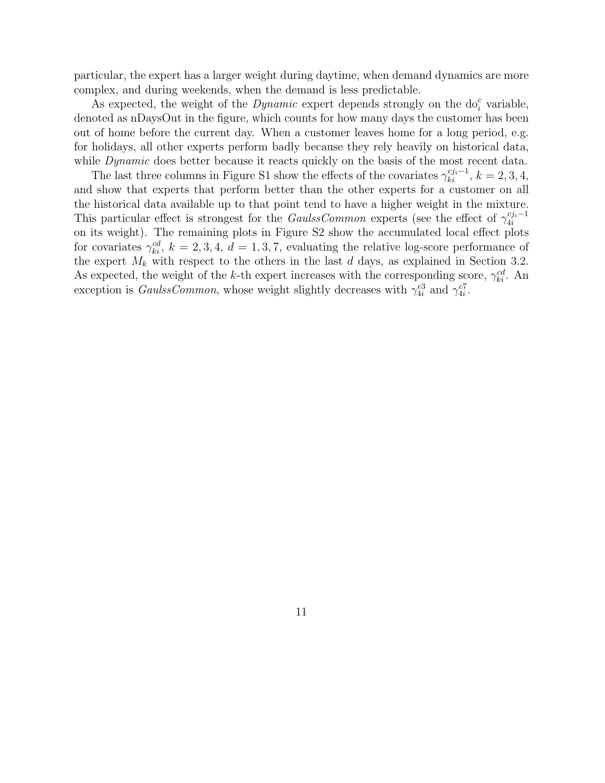particular, the expert has a larger weight during daytime, when demand dynamics are more complex, and during weekends, when the demand is less predictable.

As expected, the weight of the  $Dynamic$  expert depends strongly on the  $do<sub>i</sub><sup>c</sup>$  variable, denoted as nDaysOut in the figure, which counts for how many days the customer has been out of home before the current day. When a customer leaves home for a long period, e.g. for holidays, all other experts perform badly because they rely heavily on historical data, while *Dynamic* does better because it reacts quickly on the basis of the most recent data.

The last three columns in Figure S1 show the effects of the covariates  $\gamma_{ki}^{c j_i - 1}$ ,  $k = 2, 3, 4$ , and show that experts that perform better than the other experts for a customer on all the historical data available up to that point tend to have a higher weight in the mixture. This particular effect is strongest for the *GaulssCommon* experts (see the effect of  $\gamma_{4i}^{cji-1}$ on its weight). The remaining plots in Figure S2 show the accumulated local effect plots for covariates  $\gamma_{ki}^{cd}$ ,  $k = 2, 3, 4, d = 1, 3, 7$ , evaluating the relative log-score performance of the expert  $M_k$  with respect to the others in the last d days, as explained in Section 3.2. As expected, the weight of the k-th expert increases with the corresponding score,  $\gamma_{ki}^{cd}$ . An exception is *GaulssCommon*, whose weight slightly decreases with  $\gamma_{4i}^{c3}$  and  $\gamma_{4i}^{c7}$ .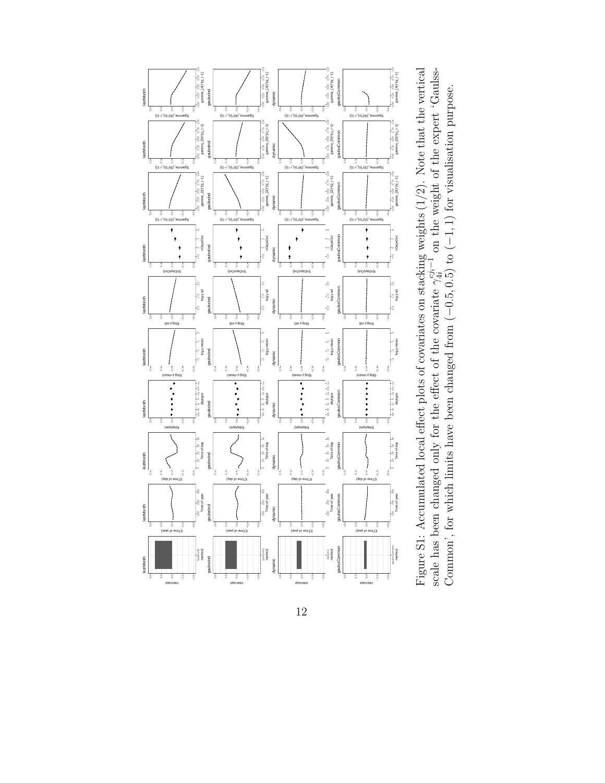